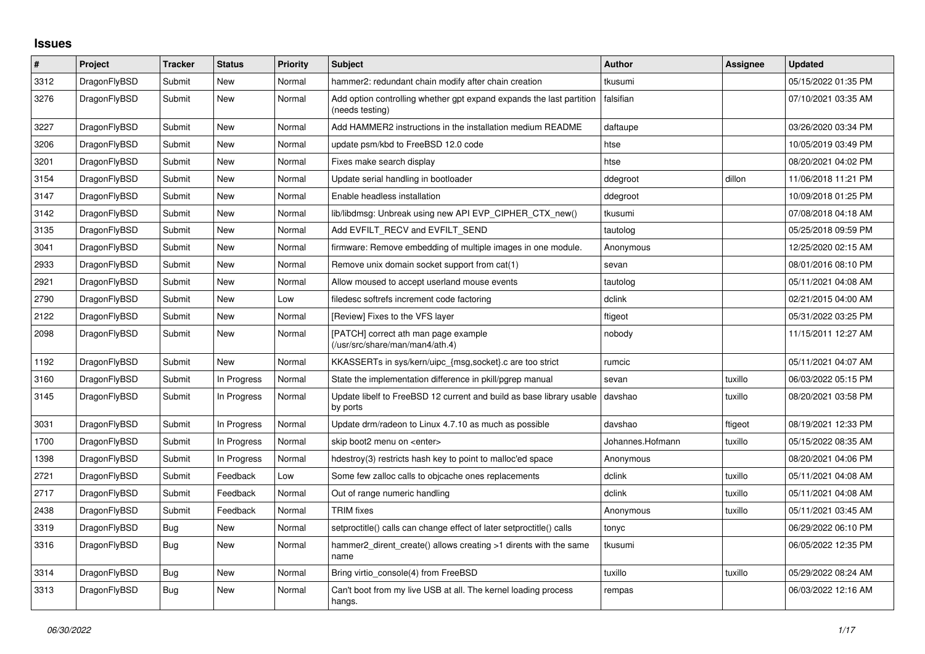## **Issues**

| $\#$ | Project      | <b>Tracker</b> | <b>Status</b> | <b>Priority</b> | <b>Subject</b>                                                                          | <b>Author</b>    | <b>Assignee</b> | <b>Updated</b>      |
|------|--------------|----------------|---------------|-----------------|-----------------------------------------------------------------------------------------|------------------|-----------------|---------------------|
| 3312 | DragonFlyBSD | Submit         | <b>New</b>    | Normal          | hammer2: redundant chain modify after chain creation                                    | tkusumi          |                 | 05/15/2022 01:35 PM |
| 3276 | DragonFlyBSD | Submit         | <b>New</b>    | Normal          | Add option controlling whether gpt expand expands the last partition<br>(needs testing) | falsifian        |                 | 07/10/2021 03:35 AM |
| 3227 | DragonFlyBSD | Submit         | <b>New</b>    | Normal          | Add HAMMER2 instructions in the installation medium README                              | daftaupe         |                 | 03/26/2020 03:34 PM |
| 3206 | DragonFlyBSD | Submit         | <b>New</b>    | Normal          | update psm/kbd to FreeBSD 12.0 code                                                     | htse             |                 | 10/05/2019 03:49 PM |
| 3201 | DragonFlyBSD | Submit         | <b>New</b>    | Normal          | Fixes make search display                                                               | htse             |                 | 08/20/2021 04:02 PM |
| 3154 | DragonFlyBSD | Submit         | New           | Normal          | Update serial handling in bootloader                                                    | ddegroot         | dillon          | 11/06/2018 11:21 PM |
| 3147 | DragonFlyBSD | Submit         | <b>New</b>    | Normal          | Enable headless installation                                                            | ddegroot         |                 | 10/09/2018 01:25 PM |
| 3142 | DragonFlyBSD | Submit         | <b>New</b>    | Normal          | lib/libdmsg: Unbreak using new API EVP CIPHER CTX new()                                 | tkusumi          |                 | 07/08/2018 04:18 AM |
| 3135 | DragonFlyBSD | Submit         | New           | Normal          | Add EVFILT RECV and EVFILT SEND                                                         | tautolog         |                 | 05/25/2018 09:59 PM |
| 3041 | DragonFlyBSD | Submit         | <b>New</b>    | Normal          | firmware: Remove embedding of multiple images in one module.                            | Anonymous        |                 | 12/25/2020 02:15 AM |
| 2933 | DragonFlyBSD | Submit         | <b>New</b>    | Normal          | Remove unix domain socket support from cat(1)                                           | sevan            |                 | 08/01/2016 08:10 PM |
| 2921 | DragonFlyBSD | Submit         | <b>New</b>    | Normal          | Allow moused to accept userland mouse events                                            | tautolog         |                 | 05/11/2021 04:08 AM |
| 2790 | DragonFlyBSD | Submit         | <b>New</b>    | Low             | filedesc softrefs increment code factoring                                              | dclink           |                 | 02/21/2015 04:00 AM |
| 2122 | DragonFlyBSD | Submit         | <b>New</b>    | Normal          | [Review] Fixes to the VFS layer                                                         | ftigeot          |                 | 05/31/2022 03:25 PM |
| 2098 | DragonFlyBSD | Submit         | New           | Normal          | [PATCH] correct ath man page example<br>(/usr/src/share/man/man4/ath.4)                 | nobody           |                 | 11/15/2011 12:27 AM |
| 1192 | DragonFlyBSD | Submit         | <b>New</b>    | Normal          | KKASSERTs in sys/kern/uipc_{msg,socket}.c are too strict                                | rumcic           |                 | 05/11/2021 04:07 AM |
| 3160 | DragonFlyBSD | Submit         | In Progress   | Normal          | State the implementation difference in pkill/pgrep manual                               | sevan            | tuxillo         | 06/03/2022 05:15 PM |
| 3145 | DragonFlyBSD | Submit         | In Progress   | Normal          | Update libelf to FreeBSD 12 current and build as base library usable<br>by ports        | davshao          | tuxillo         | 08/20/2021 03:58 PM |
| 3031 | DragonFlyBSD | Submit         | In Progress   | Normal          | Update drm/radeon to Linux 4.7.10 as much as possible                                   | davshao          | ftigeot         | 08/19/2021 12:33 PM |
| 1700 | DragonFlyBSD | Submit         | In Progress   | Normal          | skip boot2 menu on <enter></enter>                                                      | Johannes.Hofmann | tuxillo         | 05/15/2022 08:35 AM |
| 1398 | DragonFlyBSD | Submit         | In Progress   | Normal          | hdestroy(3) restricts hash key to point to malloc'ed space                              | Anonymous        |                 | 08/20/2021 04:06 PM |
| 2721 | DragonFlyBSD | Submit         | Feedback      | Low             | Some few zalloc calls to objcache ones replacements                                     | dclink           | tuxillo         | 05/11/2021 04:08 AM |
| 2717 | DragonFlyBSD | Submit         | Feedback      | Normal          | Out of range numeric handling                                                           | dclink           | tuxillo         | 05/11/2021 04:08 AM |
| 2438 | DragonFlyBSD | Submit         | Feedback      | Normal          | <b>TRIM</b> fixes                                                                       | Anonymous        | tuxillo         | 05/11/2021 03:45 AM |
| 3319 | DragonFlyBSD | Bug            | <b>New</b>    | Normal          | setproctitle() calls can change effect of later setproctitle() calls                    | tonyc            |                 | 06/29/2022 06:10 PM |
| 3316 | DragonFlyBSD | Bug            | <b>New</b>    | Normal          | hammer2_dirent_create() allows creating >1 dirents with the same<br>name                | tkusumi          |                 | 06/05/2022 12:35 PM |
| 3314 | DragonFlyBSD | Bug            | <b>New</b>    | Normal          | Bring virtio console(4) from FreeBSD                                                    | tuxillo          | tuxillo         | 05/29/2022 08:24 AM |
| 3313 | DragonFlyBSD | <b>Bug</b>     | <b>New</b>    | Normal          | Can't boot from my live USB at all. The kernel loading process<br>hangs.                | rempas           |                 | 06/03/2022 12:16 AM |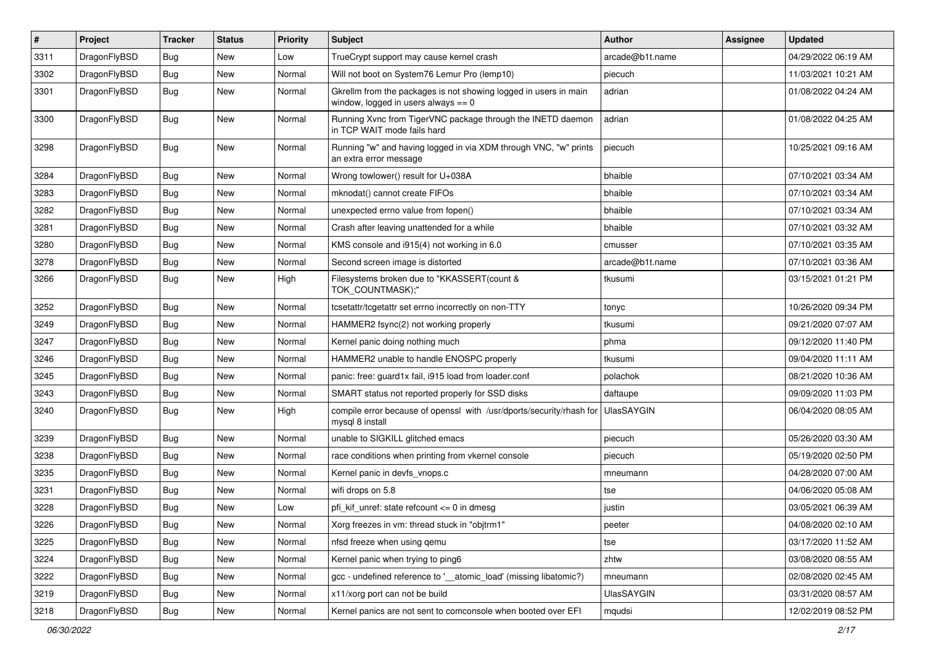| $\pmb{\#}$ | Project      | <b>Tracker</b> | <b>Status</b> | <b>Priority</b> | Subject                                                                                                   | <b>Author</b>     | Assignee | <b>Updated</b>      |
|------------|--------------|----------------|---------------|-----------------|-----------------------------------------------------------------------------------------------------------|-------------------|----------|---------------------|
| 3311       | DragonFlyBSD | Bug            | New           | Low             | TrueCrypt support may cause kernel crash                                                                  | arcade@b1t.name   |          | 04/29/2022 06:19 AM |
| 3302       | DragonFlyBSD | Bug            | <b>New</b>    | Normal          | Will not boot on System76 Lemur Pro (lemp10)                                                              | piecuch           |          | 11/03/2021 10:21 AM |
| 3301       | DragonFlyBSD | Bug            | <b>New</b>    | Normal          | Gkrellm from the packages is not showing logged in users in main<br>window, logged in users always $== 0$ | adrian            |          | 01/08/2022 04:24 AM |
| 3300       | DragonFlyBSD | Bug            | New           | Normal          | Running Xvnc from TigerVNC package through the INETD daemon<br>in TCP WAIT mode fails hard                | adrian            |          | 01/08/2022 04:25 AM |
| 3298       | DragonFlyBSD | Bug            | New           | Normal          | Running "w" and having logged in via XDM through VNC, "w" prints<br>an extra error message                | piecuch           |          | 10/25/2021 09:16 AM |
| 3284       | DragonFlyBSD | Bug            | <b>New</b>    | Normal          | Wrong towlower() result for U+038A                                                                        | bhaible           |          | 07/10/2021 03:34 AM |
| 3283       | DragonFlyBSD | Bug            | <b>New</b>    | Normal          | mknodat() cannot create FIFOs                                                                             | bhaible           |          | 07/10/2021 03:34 AM |
| 3282       | DragonFlyBSD | Bug            | New           | Normal          | unexpected errno value from fopen()                                                                       | bhaible           |          | 07/10/2021 03:34 AM |
| 3281       | DragonFlyBSD | Bug            | <b>New</b>    | Normal          | Crash after leaving unattended for a while                                                                | bhaible           |          | 07/10/2021 03:32 AM |
| 3280       | DragonFlyBSD | Bug            | <b>New</b>    | Normal          | KMS console and i915(4) not working in 6.0                                                                | cmusser           |          | 07/10/2021 03:35 AM |
| 3278       | DragonFlyBSD | Bug            | <b>New</b>    | Normal          | Second screen image is distorted                                                                          | arcade@b1t.name   |          | 07/10/2021 03:36 AM |
| 3266       | DragonFlyBSD | Bug            | New           | High            | Filesystems broken due to "KKASSERT(count &<br>TOK_COUNTMASK);"                                           | tkusumi           |          | 03/15/2021 01:21 PM |
| 3252       | DragonFlyBSD | Bug            | <b>New</b>    | Normal          | tcsetattr/tcgetattr set errno incorrectly on non-TTY                                                      | tonyc             |          | 10/26/2020 09:34 PM |
| 3249       | DragonFlyBSD | Bug            | <b>New</b>    | Normal          | HAMMER2 fsync(2) not working properly                                                                     | tkusumi           |          | 09/21/2020 07:07 AM |
| 3247       | DragonFlyBSD | Bug            | <b>New</b>    | Normal          | Kernel panic doing nothing much                                                                           | phma              |          | 09/12/2020 11:40 PM |
| 3246       | DragonFlyBSD | Bug            | New           | Normal          | HAMMER2 unable to handle ENOSPC properly                                                                  | tkusumi           |          | 09/04/2020 11:11 AM |
| 3245       | DragonFlyBSD | Bug            | <b>New</b>    | Normal          | panic: free: guard1x fail, i915 load from loader.conf                                                     | polachok          |          | 08/21/2020 10:36 AM |
| 3243       | DragonFlyBSD | Bug            | <b>New</b>    | Normal          | SMART status not reported properly for SSD disks                                                          | daftaupe          |          | 09/09/2020 11:03 PM |
| 3240       | DragonFlyBSD | Bug            | New           | High            | compile error because of openssl with /usr/dports/security/rhash for<br>mysql 8 install                   | <b>UlasSAYGIN</b> |          | 06/04/2020 08:05 AM |
| 3239       | DragonFlyBSD | Bug            | <b>New</b>    | Normal          | unable to SIGKILL glitched emacs                                                                          | piecuch           |          | 05/26/2020 03:30 AM |
| 3238       | DragonFlyBSD | Bug            | <b>New</b>    | Normal          | race conditions when printing from vkernel console                                                        | piecuch           |          | 05/19/2020 02:50 PM |
| 3235       | DragonFlyBSD | Bug            | New           | Normal          | Kernel panic in devfs vnops.c                                                                             | mneumann          |          | 04/28/2020 07:00 AM |
| 3231       | DragonFlyBSD | Bug            | <b>New</b>    | Normal          | wifi drops on 5.8                                                                                         | tse               |          | 04/06/2020 05:08 AM |
| 3228       | DragonFlyBSD | Bug            | New           | Low             | pfi kif unref: state refcount $\leq$ 0 in dmesg                                                           | justin            |          | 03/05/2021 06:39 AM |
| 3226       | DragonFlyBSD | <b>Bug</b>     | New           | Normal          | Xorg freezes in vm: thread stuck in "objtrm1"                                                             | peeter            |          | 04/08/2020 02:10 AM |
| 3225       | DragonFlyBSD | Bug            | New           | Normal          | nfsd freeze when using gemu                                                                               | tse               |          | 03/17/2020 11:52 AM |
| 3224       | DragonFlyBSD | <b>Bug</b>     | New           | Normal          | Kernel panic when trying to ping6                                                                         | zhtw              |          | 03/08/2020 08:55 AM |
| 3222       | DragonFlyBSD | Bug            | New           | Normal          | gcc - undefined reference to '__atomic_load' (missing libatomic?)                                         | mneumann          |          | 02/08/2020 02:45 AM |
| 3219       | DragonFlyBSD | <b>Bug</b>     | New           | Normal          | x11/xorg port can not be build                                                                            | <b>UlasSAYGIN</b> |          | 03/31/2020 08:57 AM |
| 3218       | DragonFlyBSD | Bug            | New           | Normal          | Kernel panics are not sent to comconsole when booted over EFI                                             | mqudsi            |          | 12/02/2019 08:52 PM |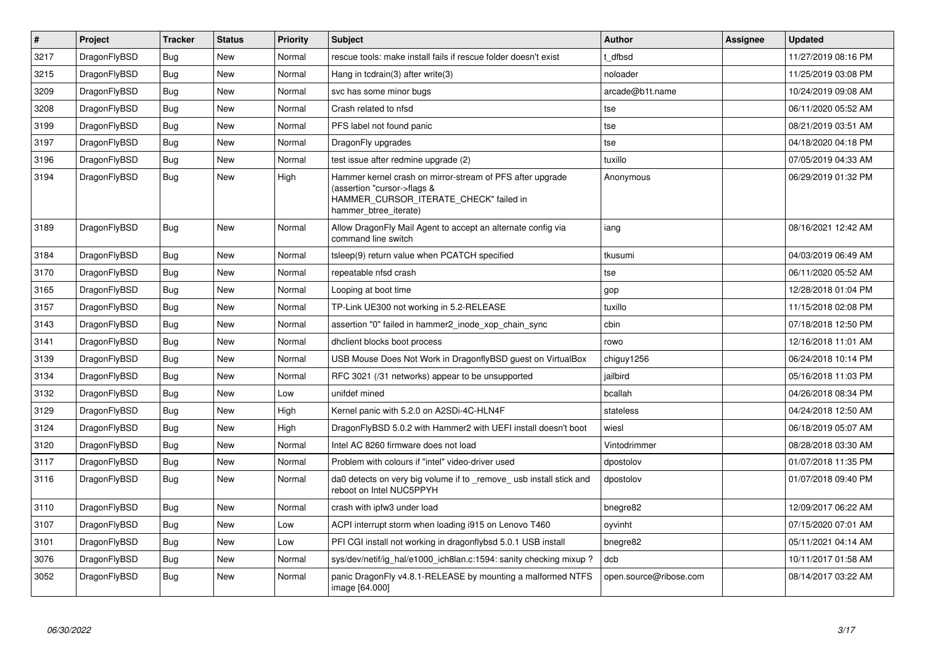| $\vert$ # | Project      | <b>Tracker</b> | <b>Status</b> | <b>Priority</b> | <b>Subject</b>                                                                                                                                              | <b>Author</b>          | Assignee | <b>Updated</b>      |
|-----------|--------------|----------------|---------------|-----------------|-------------------------------------------------------------------------------------------------------------------------------------------------------------|------------------------|----------|---------------------|
| 3217      | DragonFlyBSD | <b>Bug</b>     | <b>New</b>    | Normal          | rescue tools: make install fails if rescue folder doesn't exist                                                                                             | t dfbsd                |          | 11/27/2019 08:16 PM |
| 3215      | DragonFlyBSD | Bug            | <b>New</b>    | Normal          | Hang in tcdrain(3) after write(3)                                                                                                                           | noloader               |          | 11/25/2019 03:08 PM |
| 3209      | DragonFlyBSD | <b>Bug</b>     | <b>New</b>    | Normal          | svc has some minor bugs                                                                                                                                     | arcade@b1t.name        |          | 10/24/2019 09:08 AM |
| 3208      | DragonFlyBSD | <b>Bug</b>     | New           | Normal          | Crash related to nfsd                                                                                                                                       | tse                    |          | 06/11/2020 05:52 AM |
| 3199      | DragonFlyBSD | <b>Bug</b>     | <b>New</b>    | Normal          | PFS label not found panic                                                                                                                                   | tse                    |          | 08/21/2019 03:51 AM |
| 3197      | DragonFlyBSD | <b>Bug</b>     | <b>New</b>    | Normal          | DragonFly upgrades                                                                                                                                          | tse                    |          | 04/18/2020 04:18 PM |
| 3196      | DragonFlyBSD | Bug            | <b>New</b>    | Normal          | test issue after redmine upgrade (2)                                                                                                                        | tuxillo                |          | 07/05/2019 04:33 AM |
| 3194      | DragonFlyBSD | <b>Bug</b>     | New           | High            | Hammer kernel crash on mirror-stream of PFS after upgrade<br>(assertion "cursor->flags &<br>HAMMER_CURSOR_ITERATE_CHECK" failed in<br>hammer btree iterate) | Anonymous              |          | 06/29/2019 01:32 PM |
| 3189      | DragonFlyBSD | <b>Bug</b>     | <b>New</b>    | Normal          | Allow DragonFly Mail Agent to accept an alternate config via<br>command line switch                                                                         | iang                   |          | 08/16/2021 12:42 AM |
| 3184      | DragonFlyBSD | <b>Bug</b>     | <b>New</b>    | Normal          | tsleep(9) return value when PCATCH specified                                                                                                                | tkusumi                |          | 04/03/2019 06:49 AM |
| 3170      | DragonFlyBSD | <b>Bug</b>     | <b>New</b>    | Normal          | repeatable nfsd crash                                                                                                                                       | tse                    |          | 06/11/2020 05:52 AM |
| 3165      | DragonFlyBSD | <b>Bug</b>     | New           | Normal          | Looping at boot time                                                                                                                                        | gop                    |          | 12/28/2018 01:04 PM |
| 3157      | DragonFlyBSD | <b>Bug</b>     | <b>New</b>    | Normal          | TP-Link UE300 not working in 5.2-RELEASE                                                                                                                    | tuxillo                |          | 11/15/2018 02:08 PM |
| 3143      | DragonFlyBSD | <b>Bug</b>     | <b>New</b>    | Normal          | assertion "0" failed in hammer2_inode_xop_chain_sync                                                                                                        | cbin                   |          | 07/18/2018 12:50 PM |
| 3141      | DragonFlyBSD | Bug            | <b>New</b>    | Normal          | dhclient blocks boot process                                                                                                                                | rowo                   |          | 12/16/2018 11:01 AM |
| 3139      | DragonFlyBSD | Bug            | <b>New</b>    | Normal          | USB Mouse Does Not Work in DragonflyBSD guest on VirtualBox                                                                                                 | chiguy1256             |          | 06/24/2018 10:14 PM |
| 3134      | DragonFlyBSD | Bug            | <b>New</b>    | Normal          | RFC 3021 (/31 networks) appear to be unsupported                                                                                                            | jailbird               |          | 05/16/2018 11:03 PM |
| 3132      | DragonFlyBSD | <b>Bug</b>     | <b>New</b>    | Low             | unifdef mined                                                                                                                                               | bcallah                |          | 04/26/2018 08:34 PM |
| 3129      | DragonFlyBSD | Bug            | <b>New</b>    | High            | Kernel panic with 5.2.0 on A2SDi-4C-HLN4F                                                                                                                   | stateless              |          | 04/24/2018 12:50 AM |
| 3124      | DragonFlyBSD | <b>Bug</b>     | <b>New</b>    | High            | DragonFlyBSD 5.0.2 with Hammer2 with UEFI install doesn't boot                                                                                              | wiesl                  |          | 06/18/2019 05:07 AM |
| 3120      | DragonFlyBSD | <b>Bug</b>     | <b>New</b>    | Normal          | Intel AC 8260 firmware does not load                                                                                                                        | Vintodrimmer           |          | 08/28/2018 03:30 AM |
| 3117      | DragonFlyBSD | Bug            | <b>New</b>    | Normal          | Problem with colours if "intel" video-driver used                                                                                                           | dpostolov              |          | 01/07/2018 11:35 PM |
| 3116      | DragonFlyBSD | <b>Bug</b>     | New           | Normal          | da0 detects on very big volume if to _remove_ usb install stick and<br>reboot on Intel NUC5PPYH                                                             | dpostolov              |          | 01/07/2018 09:40 PM |
| 3110      | DragonFlyBSD | <b>Bug</b>     | <b>New</b>    | Normal          | crash with ipfw3 under load                                                                                                                                 | bnegre82               |          | 12/09/2017 06:22 AM |
| 3107      | DragonFlyBSD | Bug            | New           | Low             | ACPI interrupt storm when loading i915 on Lenovo T460                                                                                                       | oyvinht                |          | 07/15/2020 07:01 AM |
| 3101      | DragonFlyBSD | <b>Bug</b>     | <b>New</b>    | Low             | PFI CGI install not working in dragonflybsd 5.0.1 USB install                                                                                               | bnegre82               |          | 05/11/2021 04:14 AM |
| 3076      | DragonFlyBSD | Bug            | <b>New</b>    | Normal          | sys/dev/netif/ig_hal/e1000_ich8lan.c:1594: sanity checking mixup?                                                                                           | dcb                    |          | 10/11/2017 01:58 AM |
| 3052      | DragonFlyBSD | <b>Bug</b>     | New           | Normal          | panic DragonFly v4.8.1-RELEASE by mounting a malformed NTFS<br>image [64.000]                                                                               | open.source@ribose.com |          | 08/14/2017 03:22 AM |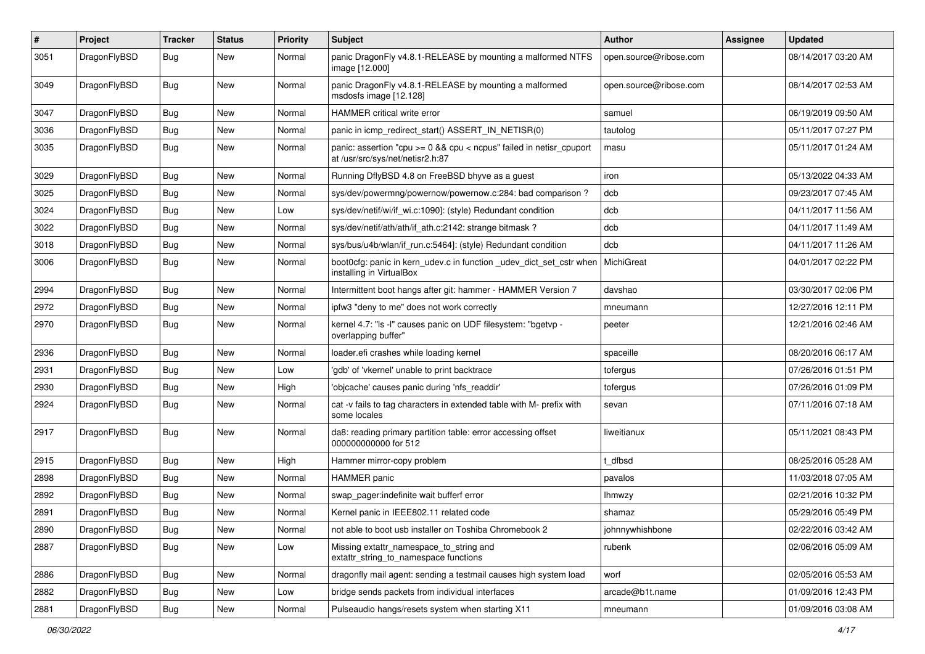| $\pmb{\#}$ | Project      | <b>Tracker</b> | <b>Status</b> | <b>Priority</b> | Subject                                                                                                 | <b>Author</b>          | Assignee | <b>Updated</b>      |
|------------|--------------|----------------|---------------|-----------------|---------------------------------------------------------------------------------------------------------|------------------------|----------|---------------------|
| 3051       | DragonFlyBSD | Bug            | New           | Normal          | panic DragonFly v4.8.1-RELEASE by mounting a malformed NTFS<br>image [12.000]                           | open.source@ribose.com |          | 08/14/2017 03:20 AM |
| 3049       | DragonFlyBSD | Bug            | <b>New</b>    | Normal          | panic DragonFly v4.8.1-RELEASE by mounting a malformed<br>msdosfs image [12.128]                        | open.source@ribose.com |          | 08/14/2017 02:53 AM |
| 3047       | DragonFlyBSD | Bug            | <b>New</b>    | Normal          | HAMMER critical write error                                                                             | samuel                 |          | 06/19/2019 09:50 AM |
| 3036       | DragonFlyBSD | Bug            | New           | Normal          | panic in icmp redirect start() ASSERT IN NETISR(0)                                                      | tautolog               |          | 05/11/2017 07:27 PM |
| 3035       | DragonFlyBSD | Bug            | New           | Normal          | panic: assertion "cpu >= 0 && cpu < ncpus" failed in netisr_cpuport<br>at /usr/src/sys/net/netisr2.h:87 | masu                   |          | 05/11/2017 01:24 AM |
| 3029       | DragonFlyBSD | Bug            | <b>New</b>    | Normal          | Running DflyBSD 4.8 on FreeBSD bhyve as a guest                                                         | iron                   |          | 05/13/2022 04:33 AM |
| 3025       | DragonFlyBSD | Bug            | <b>New</b>    | Normal          | sys/dev/powermng/powernow/powernow.c:284: bad comparison?                                               | dcb                    |          | 09/23/2017 07:45 AM |
| 3024       | DragonFlyBSD | Bug            | New           | Low             | sys/dev/netif/wi/if_wi.c:1090]: (style) Redundant condition                                             | dcb                    |          | 04/11/2017 11:56 AM |
| 3022       | DragonFlyBSD | Bug            | <b>New</b>    | Normal          | sys/dev/netif/ath/ath/if ath.c:2142: strange bitmask?                                                   | dcb                    |          | 04/11/2017 11:49 AM |
| 3018       | DragonFlyBSD | Bug            | <b>New</b>    | Normal          | sys/bus/u4b/wlan/if run.c:5464]: (style) Redundant condition                                            | dcb                    |          | 04/11/2017 11:26 AM |
| 3006       | DragonFlyBSD | Bug            | New           | Normal          | boot0cfg: panic in kern_udev.c in function _udev_dict_set_cstr when<br>installing in VirtualBox         | MichiGreat             |          | 04/01/2017 02:22 PM |
| 2994       | DragonFlyBSD | <b>Bug</b>     | <b>New</b>    | Normal          | Intermittent boot hangs after git: hammer - HAMMER Version 7                                            | davshao                |          | 03/30/2017 02:06 PM |
| 2972       | DragonFlyBSD | Bug            | New           | Normal          | ipfw3 "deny to me" does not work correctly                                                              | mneumann               |          | 12/27/2016 12:11 PM |
| 2970       | DragonFlyBSD | Bug            | New           | Normal          | kernel 4.7: "Is -I" causes panic on UDF filesystem: "bgetvp -<br>overlapping buffer"                    | peeter                 |          | 12/21/2016 02:46 AM |
| 2936       | DragonFlyBSD | Bug            | <b>New</b>    | Normal          | loader.efi crashes while loading kernel                                                                 | spaceille              |          | 08/20/2016 06:17 AM |
| 2931       | DragonFlyBSD | <b>Bug</b>     | <b>New</b>    | Low             | 'gdb' of 'vkernel' unable to print backtrace                                                            | tofergus               |          | 07/26/2016 01:51 PM |
| 2930       | DragonFlyBSD | Bug            | New           | High            | 'objcache' causes panic during 'nfs_readdir'                                                            | tofergus               |          | 07/26/2016 01:09 PM |
| 2924       | DragonFlyBSD | Bug            | New           | Normal          | cat -v fails to tag characters in extended table with M- prefix with<br>some locales                    | sevan                  |          | 07/11/2016 07:18 AM |
| 2917       | DragonFlyBSD | Bug            | <b>New</b>    | Normal          | da8: reading primary partition table: error accessing offset<br>000000000000 for 512                    | liweitianux            |          | 05/11/2021 08:43 PM |
| 2915       | DragonFlyBSD | <b>Bug</b>     | <b>New</b>    | High            | Hammer mirror-copy problem                                                                              | dfbsd                  |          | 08/25/2016 05:28 AM |
| 2898       | DragonFlyBSD | Bug            | <b>New</b>    | Normal          | <b>HAMMER</b> panic                                                                                     | pavalos                |          | 11/03/2018 07:05 AM |
| 2892       | DragonFlyBSD | Bug            | <b>New</b>    | Normal          | swap_pager:indefinite wait bufferf error                                                                | Ihmwzy                 |          | 02/21/2016 10:32 PM |
| 2891       | DragonFlyBSD | <b>Bug</b>     | New           | Normal          | Kernel panic in IEEE802.11 related code                                                                 | shamaz                 |          | 05/29/2016 05:49 PM |
| 2890       | DragonFlyBSD | <b>Bug</b>     | New           | Normal          | not able to boot usb installer on Toshiba Chromebook 2                                                  | johnnywhishbone        |          | 02/22/2016 03:42 AM |
| 2887       | DragonFlyBSD | Bug            | New           | Low             | Missing extattr_namespace_to_string and<br>extattr_string_to_namespace functions                        | rubenk                 |          | 02/06/2016 05:09 AM |
| 2886       | DragonFlyBSD | Bug            | New           | Normal          | dragonfly mail agent: sending a testmail causes high system load                                        | worf                   |          | 02/05/2016 05:53 AM |
| 2882       | DragonFlyBSD | Bug            | New           | Low             | bridge sends packets from individual interfaces                                                         | arcade@b1t.name        |          | 01/09/2016 12:43 PM |
| 2881       | DragonFlyBSD | Bug            | New           | Normal          | Pulseaudio hangs/resets system when starting X11                                                        | mneumann               |          | 01/09/2016 03:08 AM |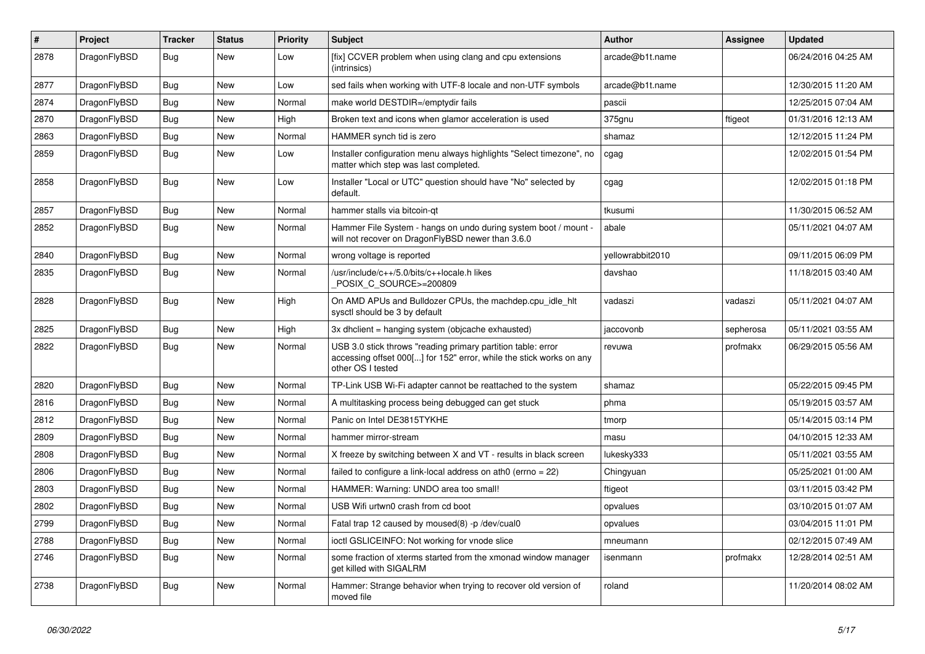| #    | Project      | <b>Tracker</b> | <b>Status</b> | <b>Priority</b> | <b>Subject</b>                                                                                                                                           | <b>Author</b>    | Assignee  | <b>Updated</b>      |
|------|--------------|----------------|---------------|-----------------|----------------------------------------------------------------------------------------------------------------------------------------------------------|------------------|-----------|---------------------|
| 2878 | DragonFlyBSD | Bug            | <b>New</b>    | Low             | [fix] CCVER problem when using clang and cpu extensions<br>(intrinsics)                                                                                  | arcade@b1t.name  |           | 06/24/2016 04:25 AM |
| 2877 | DragonFlyBSD | <b>Bug</b>     | <b>New</b>    | Low             | sed fails when working with UTF-8 locale and non-UTF symbols                                                                                             | arcade@b1t.name  |           | 12/30/2015 11:20 AM |
| 2874 | DragonFlyBSD | <b>Bug</b>     | New           | Normal          | make world DESTDIR=/emptydir fails                                                                                                                       | pascii           |           | 12/25/2015 07:04 AM |
| 2870 | DragonFlyBSD | <b>Bug</b>     | <b>New</b>    | High            | Broken text and icons when glamor acceleration is used                                                                                                   | 375gnu           | ftigeot   | 01/31/2016 12:13 AM |
| 2863 | DragonFlyBSD | <b>Bug</b>     | <b>New</b>    | Normal          | HAMMER synch tid is zero                                                                                                                                 | shamaz           |           | 12/12/2015 11:24 PM |
| 2859 | DragonFlyBSD | <b>Bug</b>     | <b>New</b>    | Low             | Installer configuration menu always highlights "Select timezone", no<br>matter which step was last completed.                                            | cgag             |           | 12/02/2015 01:54 PM |
| 2858 | DragonFlyBSD | <b>Bug</b>     | <b>New</b>    | Low             | Installer "Local or UTC" question should have "No" selected by<br>default.                                                                               | cgag             |           | 12/02/2015 01:18 PM |
| 2857 | DragonFlyBSD | <b>Bug</b>     | <b>New</b>    | Normal          | hammer stalls via bitcoin-qt                                                                                                                             | tkusumi          |           | 11/30/2015 06:52 AM |
| 2852 | DragonFlyBSD | <b>Bug</b>     | New           | Normal          | Hammer File System - hangs on undo during system boot / mount -<br>will not recover on DragonFlyBSD newer than 3.6.0                                     | abale            |           | 05/11/2021 04:07 AM |
| 2840 | DragonFlyBSD | <b>Bug</b>     | <b>New</b>    | Normal          | wrong voltage is reported                                                                                                                                | yellowrabbit2010 |           | 09/11/2015 06:09 PM |
| 2835 | DragonFlyBSD | Bug            | <b>New</b>    | Normal          | /usr/include/c++/5.0/bits/c++locale.h likes<br>POSIX C SOURCE>=200809                                                                                    | davshao          |           | 11/18/2015 03:40 AM |
| 2828 | DragonFlyBSD | Bug            | <b>New</b>    | High            | On AMD APUs and Bulldozer CPUs, the machdep.cpu_idle_hlt<br>sysctl should be 3 by default                                                                | vadaszi          | vadaszi   | 05/11/2021 04:07 AM |
| 2825 | DragonFlyBSD | Bug            | <b>New</b>    | High            | 3x dhclient = hanging system (objcache exhausted)                                                                                                        | jaccovonb        | sepherosa | 05/11/2021 03:55 AM |
| 2822 | DragonFlyBSD | <b>Bug</b>     | <b>New</b>    | Normal          | USB 3.0 stick throws "reading primary partition table: error<br>accessing offset 000[] for 152" error, while the stick works on any<br>other OS I tested | revuwa           | profmakx  | 06/29/2015 05:56 AM |
| 2820 | DragonFlyBSD | Bug            | New           | Normal          | TP-Link USB Wi-Fi adapter cannot be reattached to the system                                                                                             | shamaz           |           | 05/22/2015 09:45 PM |
| 2816 | DragonFlyBSD | <b>Bug</b>     | <b>New</b>    | Normal          | A multitasking process being debugged can get stuck                                                                                                      | phma             |           | 05/19/2015 03:57 AM |
| 2812 | DragonFlyBSD | Bug            | <b>New</b>    | Normal          | Panic on Intel DE3815TYKHE                                                                                                                               | tmorp            |           | 05/14/2015 03:14 PM |
| 2809 | DragonFlyBSD | Bug            | <b>New</b>    | Normal          | hammer mirror-stream                                                                                                                                     | masu             |           | 04/10/2015 12:33 AM |
| 2808 | DragonFlyBSD | Bug            | New           | Normal          | X freeze by switching between X and VT - results in black screen                                                                                         | lukesky333       |           | 05/11/2021 03:55 AM |
| 2806 | DragonFlyBSD | Bug            | <b>New</b>    | Normal          | failed to configure a link-local address on ath0 (errno = 22)                                                                                            | Chingyuan        |           | 05/25/2021 01:00 AM |
| 2803 | DragonFlyBSD | <b>Bug</b>     | <b>New</b>    | Normal          | HAMMER: Warning: UNDO area too small!                                                                                                                    | ftigeot          |           | 03/11/2015 03:42 PM |
| 2802 | DragonFlyBSD | <b>Bug</b>     | <b>New</b>    | Normal          | USB Wifi urtwn0 crash from cd boot                                                                                                                       | opvalues         |           | 03/10/2015 01:07 AM |
| 2799 | DragonFlyBSD | <b>Bug</b>     | New           | Normal          | Fatal trap 12 caused by moused(8) -p/dev/cual0                                                                                                           | opvalues         |           | 03/04/2015 11:01 PM |
| 2788 | DragonFlyBSD | <b>Bug</b>     | <b>New</b>    | Normal          | ioctl GSLICEINFO: Not working for vnode slice                                                                                                            | mneumann         |           | 02/12/2015 07:49 AM |
| 2746 | DragonFlyBSD | <b>Bug</b>     | <b>New</b>    | Normal          | some fraction of xterms started from the xmonad window manager<br>get killed with SIGALRM                                                                | isenmann         | profmakx  | 12/28/2014 02:51 AM |
| 2738 | DragonFlyBSD | Bug            | <b>New</b>    | Normal          | Hammer: Strange behavior when trying to recover old version of<br>moved file                                                                             | roland           |           | 11/20/2014 08:02 AM |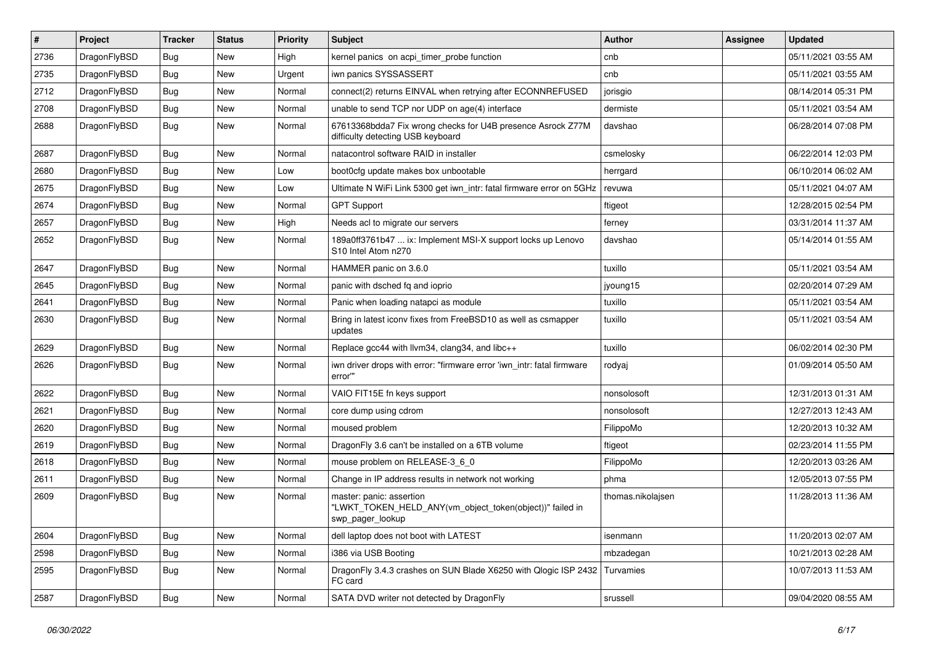| $\vert$ # | Project      | <b>Tracker</b> | <b>Status</b> | <b>Priority</b> | Subject                                                                                                  | Author            | Assignee | <b>Updated</b>      |
|-----------|--------------|----------------|---------------|-----------------|----------------------------------------------------------------------------------------------------------|-------------------|----------|---------------------|
| 2736      | DragonFlyBSD | Bug            | New           | High            | kernel panics on acpi timer probe function                                                               | cnb               |          | 05/11/2021 03:55 AM |
| 2735      | DragonFlyBSD | <b>Bug</b>     | <b>New</b>    | Urgent          | iwn panics SYSSASSERT                                                                                    | cnb               |          | 05/11/2021 03:55 AM |
| 2712      | DragonFlyBSD | <b>Bug</b>     | New           | Normal          | connect(2) returns EINVAL when retrying after ECONNREFUSED                                               | jorisgio          |          | 08/14/2014 05:31 PM |
| 2708      | DragonFlyBSD | Bug            | <b>New</b>    | Normal          | unable to send TCP nor UDP on age(4) interface                                                           | dermiste          |          | 05/11/2021 03:54 AM |
| 2688      | DragonFlyBSD | Bug            | New           | Normal          | 67613368bdda7 Fix wrong checks for U4B presence Asrock Z77M<br>difficulty detecting USB keyboard         | davshao           |          | 06/28/2014 07:08 PM |
| 2687      | DragonFlyBSD | Bug            | <b>New</b>    | Normal          | natacontrol software RAID in installer                                                                   | csmelosky         |          | 06/22/2014 12:03 PM |
| 2680      | DragonFlyBSD | <b>Bug</b>     | New           | Low             | boot0cfg update makes box unbootable                                                                     | herrgard          |          | 06/10/2014 06:02 AM |
| 2675      | DragonFlyBSD | Bug            | <b>New</b>    | Low             | Ultimate N WiFi Link 5300 get iwn_intr: fatal firmware error on 5GHz                                     | revuwa            |          | 05/11/2021 04:07 AM |
| 2674      | DragonFlyBSD | <b>Bug</b>     | <b>New</b>    | Normal          | <b>GPT Support</b>                                                                                       | ftigeot           |          | 12/28/2015 02:54 PM |
| 2657      | DragonFlyBSD | <b>Bug</b>     | New           | High            | Needs acl to migrate our servers                                                                         | ferney            |          | 03/31/2014 11:37 AM |
| 2652      | DragonFlyBSD | Bug            | New           | Normal          | 189a0ff3761b47  ix: Implement MSI-X support locks up Lenovo<br>S10 Intel Atom n270                       | davshao           |          | 05/14/2014 01:55 AM |
| 2647      | DragonFlyBSD | <b>Bug</b>     | New           | Normal          | HAMMER panic on 3.6.0                                                                                    | tuxillo           |          | 05/11/2021 03:54 AM |
| 2645      | DragonFlyBSD | Bug            | <b>New</b>    | Normal          | panic with dsched fq and ioprio                                                                          | jyoung15          |          | 02/20/2014 07:29 AM |
| 2641      | DragonFlyBSD | <b>Bug</b>     | New           | Normal          | Panic when loading natapci as module                                                                     | tuxillo           |          | 05/11/2021 03:54 AM |
| 2630      | DragonFlyBSD | Bug            | New           | Normal          | Bring in latest iconv fixes from FreeBSD10 as well as csmapper<br>updates                                | tuxillo           |          | 05/11/2021 03:54 AM |
| 2629      | DragonFlyBSD | Bug            | <b>New</b>    | Normal          | Replace gcc44 with llvm34, clang34, and libc++                                                           | tuxillo           |          | 06/02/2014 02:30 PM |
| 2626      | DragonFlyBSD | Bug            | New           | Normal          | iwn driver drops with error: "firmware error 'iwn_intr: fatal firmware<br>error""                        | rodyaj            |          | 01/09/2014 05:50 AM |
| 2622      | DragonFlyBSD | <b>Bug</b>     | New           | Normal          | VAIO FIT15E fn keys support                                                                              | nonsolosoft       |          | 12/31/2013 01:31 AM |
| 2621      | DragonFlyBSD | Bug            | <b>New</b>    | Normal          | core dump using cdrom                                                                                    | nonsolosoft       |          | 12/27/2013 12:43 AM |
| 2620      | DragonFlyBSD | <b>Bug</b>     | New           | Normal          | moused problem                                                                                           | FilippoMo         |          | 12/20/2013 10:32 AM |
| 2619      | DragonFlyBSD | Bug            | <b>New</b>    | Normal          | DragonFly 3.6 can't be installed on a 6TB volume                                                         | ftigeot           |          | 02/23/2014 11:55 PM |
| 2618      | DragonFlyBSD | Bug            | <b>New</b>    | Normal          | mouse problem on RELEASE-3_6_0                                                                           | FilippoMo         |          | 12/20/2013 03:26 AM |
| 2611      | DragonFlyBSD | <b>Bug</b>     | New           | Normal          | Change in IP address results in network not working                                                      | phma              |          | 12/05/2013 07:55 PM |
| 2609      | DragonFlyBSD | Bug            | New           | Normal          | master: panic: assertion<br>"LWKT_TOKEN_HELD_ANY(vm_object_token(object))" failed in<br>swp_pager_lookup | thomas.nikolajsen |          | 11/28/2013 11:36 AM |
| 2604      | DragonFlyBSD | Bug            | New           | Normal          | dell laptop does not boot with LATEST                                                                    | isenmann          |          | 11/20/2013 02:07 AM |
| 2598      | DragonFlyBSD | <b>Bug</b>     | New           | Normal          | i386 via USB Booting                                                                                     | mbzadegan         |          | 10/21/2013 02:28 AM |
| 2595      | DragonFlyBSD | <b>Bug</b>     | New           | Normal          | DragonFly 3.4.3 crashes on SUN Blade X6250 with Qlogic ISP 2432<br>FC card                               | Turvamies         |          | 10/07/2013 11:53 AM |
| 2587      | DragonFlyBSD | <b>Bug</b>     | New           | Normal          | SATA DVD writer not detected by DragonFly                                                                | srussell          |          | 09/04/2020 08:55 AM |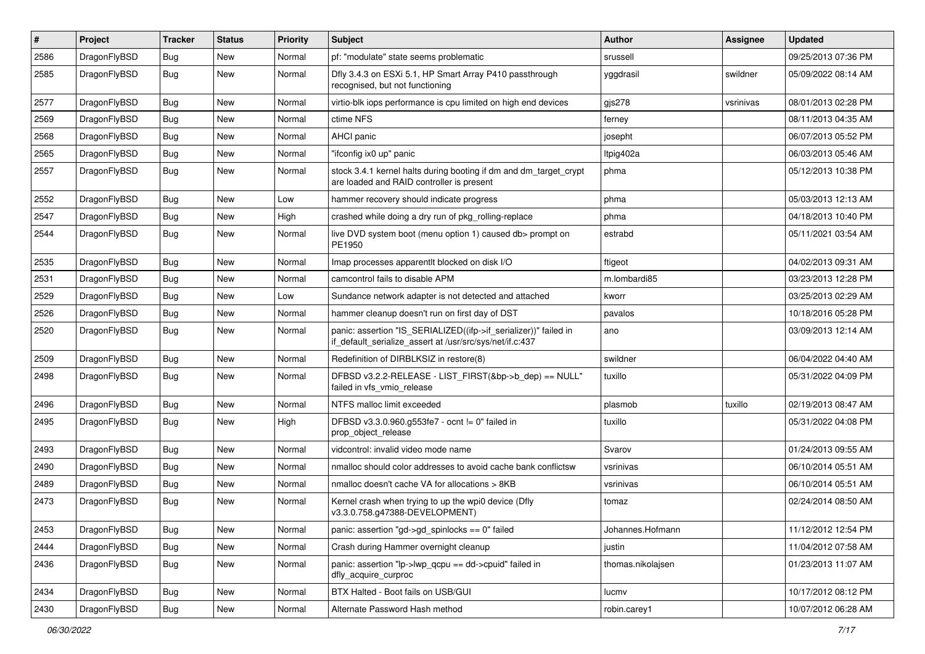| #    | Project      | <b>Tracker</b> | <b>Status</b> | <b>Priority</b> | Subject                                                                                                                      | <b>Author</b>     | Assignee  | <b>Updated</b>      |
|------|--------------|----------------|---------------|-----------------|------------------------------------------------------------------------------------------------------------------------------|-------------------|-----------|---------------------|
| 2586 | DragonFlyBSD | <b>Bug</b>     | New           | Normal          | pf: "modulate" state seems problematic                                                                                       | srussell          |           | 09/25/2013 07:36 PM |
| 2585 | DragonFlyBSD | Bug            | New           | Normal          | Dfly 3.4.3 on ESXi 5.1, HP Smart Array P410 passthrough<br>recognised, but not functioning                                   | yggdrasil         | swildner  | 05/09/2022 08:14 AM |
| 2577 | DragonFlyBSD | Bug            | New           | Normal          | virtio-blk iops performance is cpu limited on high end devices                                                               | gjs278            | vsrinivas | 08/01/2013 02:28 PM |
| 2569 | DragonFlyBSD | Bug            | <b>New</b>    | Normal          | ctime NFS                                                                                                                    | ferney            |           | 08/11/2013 04:35 AM |
| 2568 | DragonFlyBSD | <b>Bug</b>     | New           | Normal          | AHCI panic                                                                                                                   | josepht           |           | 06/07/2013 05:52 PM |
| 2565 | DragonFlyBSD | Bug            | New           | Normal          | "ifconfig ix0 up" panic                                                                                                      | Itpig402a         |           | 06/03/2013 05:46 AM |
| 2557 | DragonFlyBSD | Bug            | New           | Normal          | stock 3.4.1 kernel halts during booting if dm and dm_target_crypt<br>are loaded and RAID controller is present               | phma              |           | 05/12/2013 10:38 PM |
| 2552 | DragonFlyBSD | Bug            | New           | Low             | hammer recovery should indicate progress                                                                                     | phma              |           | 05/03/2013 12:13 AM |
| 2547 | DragonFlyBSD | Bug            | New           | High            | crashed while doing a dry run of pkg_rolling-replace                                                                         | phma              |           | 04/18/2013 10:40 PM |
| 2544 | DragonFlyBSD | Bug            | <b>New</b>    | Normal          | live DVD system boot (menu option 1) caused db> prompt on<br>PE1950                                                          | estrabd           |           | 05/11/2021 03:54 AM |
| 2535 | DragonFlyBSD | Bug            | New           | Normal          | Imap processes apparentlt blocked on disk I/O                                                                                | ftigeot           |           | 04/02/2013 09:31 AM |
| 2531 | DragonFlyBSD | Bug            | New           | Normal          | camcontrol fails to disable APM                                                                                              | m.lombardi85      |           | 03/23/2013 12:28 PM |
| 2529 | DragonFlyBSD | Bug            | New           | Low             | Sundance network adapter is not detected and attached                                                                        | kworr             |           | 03/25/2013 02:29 AM |
| 2526 | DragonFlyBSD | Bug            | New           | Normal          | hammer cleanup doesn't run on first day of DST                                                                               | pavalos           |           | 10/18/2016 05:28 PM |
| 2520 | DragonFlyBSD | <b>Bug</b>     | New           | Normal          | panic: assertion "IS_SERIALIZED((ifp->if_serializer))" failed in<br>if_default_serialize_assert at /usr/src/sys/net/if.c:437 | ano               |           | 03/09/2013 12:14 AM |
| 2509 | DragonFlyBSD | Bug            | New           | Normal          | Redefinition of DIRBLKSIZ in restore(8)                                                                                      | swildner          |           | 06/04/2022 04:40 AM |
| 2498 | DragonFlyBSD | Bug            | New           | Normal          | DFBSD v3.2.2-RELEASE - LIST_FIRST(&bp->b_dep) == NULL"<br>failed in vfs vmio release                                         | tuxillo           |           | 05/31/2022 04:09 PM |
| 2496 | DragonFlyBSD | Bug            | <b>New</b>    | Normal          | NTFS malloc limit exceeded                                                                                                   | plasmob           | tuxillo   | 02/19/2013 08:47 AM |
| 2495 | DragonFlyBSD | Bug            | New           | High            | DFBSD v3.3.0.960.g553fe7 - ocnt != 0" failed in<br>prop_object_release                                                       | tuxillo           |           | 05/31/2022 04:08 PM |
| 2493 | DragonFlyBSD | <b>Bug</b>     | New           | Normal          | vidcontrol: invalid video mode name                                                                                          | Svarov            |           | 01/24/2013 09:55 AM |
| 2490 | DragonFlyBSD | Bug            | New           | Normal          | nmalloc should color addresses to avoid cache bank conflictsw                                                                | vsrinivas         |           | 06/10/2014 05:51 AM |
| 2489 | DragonFlyBSD | Bug            | New           | Normal          | nmalloc doesn't cache VA for allocations > 8KB                                                                               | vsrinivas         |           | 06/10/2014 05:51 AM |
| 2473 | DragonFlyBSD | Bug            | New           | Normal          | Kernel crash when trying to up the wpi0 device (Dfly<br>v3.3.0.758.g47388-DEVELOPMENT)                                       | tomaz             |           | 02/24/2014 08:50 AM |
| 2453 | DragonFlyBSD | <b>Bug</b>     | New           | Normal          | panic: assertion "gd->gd_spinlocks == 0" failed                                                                              | Johannes.Hofmann  |           | 11/12/2012 12:54 PM |
| 2444 | DragonFlyBSD | <b>Bug</b>     | <b>New</b>    | Normal          | Crash during Hammer overnight cleanup                                                                                        | justin            |           | 11/04/2012 07:58 AM |
| 2436 | DragonFlyBSD | Bug            | New           | Normal          | panic: assertion "lp->lwp_qcpu == dd->cpuid" failed in<br>dfly_acquire_curproc                                               | thomas.nikolajsen |           | 01/23/2013 11:07 AM |
| 2434 | DragonFlyBSD | Bug            | <b>New</b>    | Normal          | BTX Halted - Boot fails on USB/GUI                                                                                           | lucmv             |           | 10/17/2012 08:12 PM |
| 2430 | DragonFlyBSD | <b>Bug</b>     | New           | Normal          | Alternate Password Hash method                                                                                               | robin.carey1      |           | 10/07/2012 06:28 AM |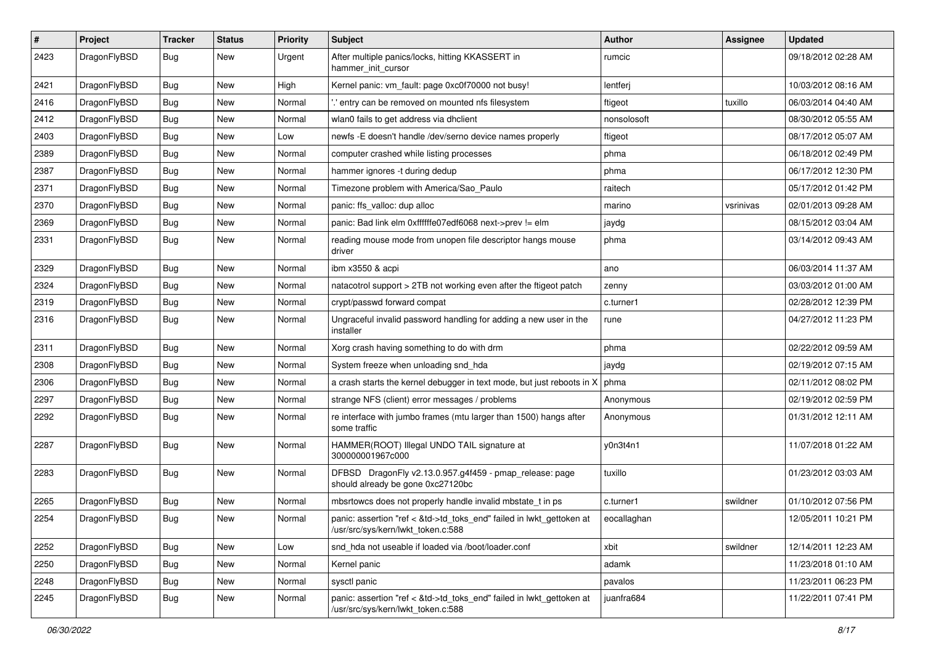| #    | Project      | <b>Tracker</b> | <b>Status</b> | <b>Priority</b> | Subject                                                                                                    | <b>Author</b> | Assignee  | <b>Updated</b>      |
|------|--------------|----------------|---------------|-----------------|------------------------------------------------------------------------------------------------------------|---------------|-----------|---------------------|
| 2423 | DragonFlyBSD | Bug            | New           | Urgent          | After multiple panics/locks, hitting KKASSERT in<br>hammer init cursor                                     | rumcic        |           | 09/18/2012 02:28 AM |
| 2421 | DragonFlyBSD | Bug            | New           | High            | Kernel panic: vm fault: page 0xc0f70000 not busy!                                                          | lentferj      |           | 10/03/2012 08:16 AM |
| 2416 | DragonFlyBSD | Bug            | <b>New</b>    | Normal          | ".' entry can be removed on mounted nfs filesystem                                                         | ftigeot       | tuxillo   | 06/03/2014 04:40 AM |
| 2412 | DragonFlyBSD | Bug            | New           | Normal          | wlan0 fails to get address via dhclient                                                                    | nonsolosoft   |           | 08/30/2012 05:55 AM |
| 2403 | DragonFlyBSD | Bug            | New           | Low             | newfs - E doesn't handle / dev/serno device names properly                                                 | ftigeot       |           | 08/17/2012 05:07 AM |
| 2389 | DragonFlyBSD | Bug            | <b>New</b>    | Normal          | computer crashed while listing processes                                                                   | phma          |           | 06/18/2012 02:49 PM |
| 2387 | DragonFlyBSD | Bug            | <b>New</b>    | Normal          | hammer ignores -t during dedup                                                                             | phma          |           | 06/17/2012 12:30 PM |
| 2371 | DragonFlyBSD | Bug            | New           | Normal          | Timezone problem with America/Sao_Paulo                                                                    | raitech       |           | 05/17/2012 01:42 PM |
| 2370 | DragonFlyBSD | Bug            | <b>New</b>    | Normal          | panic: ffs_valloc: dup alloc                                                                               | marino        | vsrinivas | 02/01/2013 09:28 AM |
| 2369 | DragonFlyBSD | Bug            | New           | Normal          | panic: Bad link elm 0xffffffe07edf6068 next->prev != elm                                                   | jaydg         |           | 08/15/2012 03:04 AM |
| 2331 | DragonFlyBSD | Bug            | <b>New</b>    | Normal          | reading mouse mode from unopen file descriptor hangs mouse<br>driver                                       | phma          |           | 03/14/2012 09:43 AM |
| 2329 | DragonFlyBSD | Bug            | New           | Normal          | ibm x3550 & acpi                                                                                           | ano           |           | 06/03/2014 11:37 AM |
| 2324 | DragonFlyBSD | Bug            | New           | Normal          | natacotrol support > 2TB not working even after the ftigeot patch                                          | zenny         |           | 03/03/2012 01:00 AM |
| 2319 | DragonFlyBSD | Bug            | New           | Normal          | crypt/passwd forward compat                                                                                | c.turner1     |           | 02/28/2012 12:39 PM |
| 2316 | DragonFlyBSD | Bug            | <b>New</b>    | Normal          | Ungraceful invalid password handling for adding a new user in the<br>installer                             | rune          |           | 04/27/2012 11:23 PM |
| 2311 | DragonFlyBSD | Bug            | New           | Normal          | Xorg crash having something to do with drm                                                                 | phma          |           | 02/22/2012 09:59 AM |
| 2308 | DragonFlyBSD | Bug            | New           | Normal          | System freeze when unloading snd_hda                                                                       | jaydg         |           | 02/19/2012 07:15 AM |
| 2306 | DragonFlyBSD | Bug            | <b>New</b>    | Normal          | a crash starts the kernel debugger in text mode, but just reboots in X                                     | phma          |           | 02/11/2012 08:02 PM |
| 2297 | DragonFlyBSD | <b>Bug</b>     | New           | Normal          | strange NFS (client) error messages / problems                                                             | Anonymous     |           | 02/19/2012 02:59 PM |
| 2292 | DragonFlyBSD | Bug            | New           | Normal          | re interface with jumbo frames (mtu larger than 1500) hangs after<br>some traffic                          | Anonymous     |           | 01/31/2012 12:11 AM |
| 2287 | DragonFlyBSD | <b>Bug</b>     | New           | Normal          | HAMMER(ROOT) Illegal UNDO TAIL signature at<br>300000001967c000                                            | y0n3t4n1      |           | 11/07/2018 01:22 AM |
| 2283 | DragonFlyBSD | Bug            | New           | Normal          | DFBSD DragonFly v2.13.0.957.g4f459 - pmap_release: page<br>should already be gone 0xc27120bc               | tuxillo       |           | 01/23/2012 03:03 AM |
| 2265 | DragonFlyBSD | <b>Bug</b>     | New           | Normal          | mbsrtowcs does not properly handle invalid mbstate_t in ps                                                 | c.turner1     | swildner  | 01/10/2012 07:56 PM |
| 2254 | DragonFlyBSD | Bug            | <b>New</b>    | Normal          | panic: assertion "ref < &td->td toks end" failed in lwkt gettoken at<br>/usr/src/sys/kern/lwkt_token.c:588 | eocallaghan   |           | 12/05/2011 10:21 PM |
| 2252 | DragonFlyBSD | <b>Bug</b>     | New           | Low             | snd_hda not useable if loaded via /boot/loader.conf                                                        | xbit          | swildner  | 12/14/2011 12:23 AM |
| 2250 | DragonFlyBSD | Bug            | New           | Normal          | Kernel panic                                                                                               | adamk         |           | 11/23/2018 01:10 AM |
| 2248 | DragonFlyBSD | <b>Bug</b>     | <b>New</b>    | Normal          | sysctl panic                                                                                               | pavalos       |           | 11/23/2011 06:23 PM |
| 2245 | DragonFlyBSD | <b>Bug</b>     | New           | Normal          | panic: assertion "ref < &td->td_toks_end" failed in lwkt_gettoken at<br>/usr/src/sys/kern/lwkt_token.c:588 | juanfra684    |           | 11/22/2011 07:41 PM |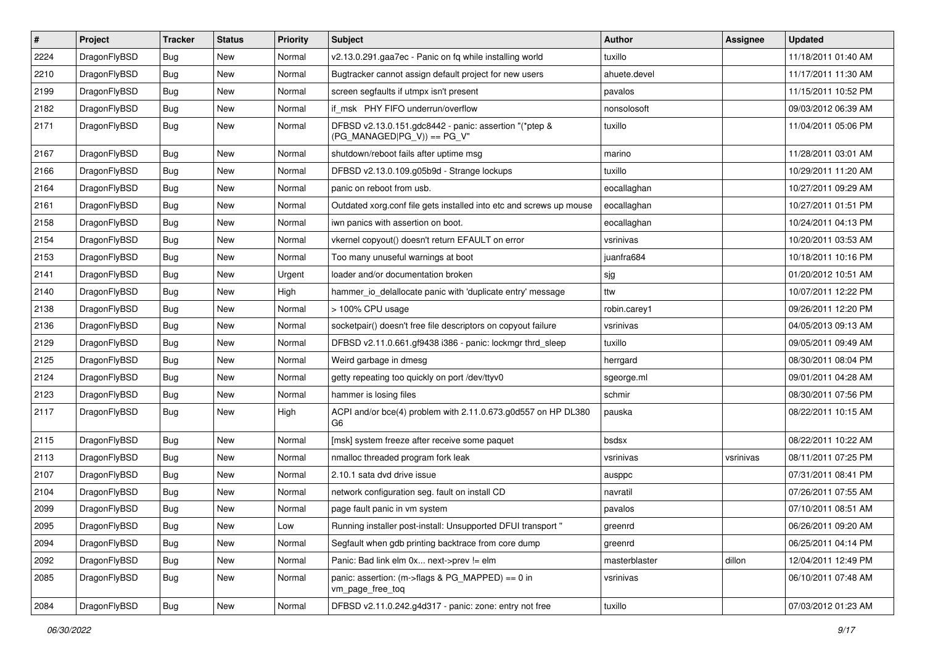| $\vert$ # | Project      | <b>Tracker</b> | <b>Status</b> | <b>Priority</b> | <b>Subject</b>                                                                         | <b>Author</b> | <b>Assignee</b> | <b>Updated</b>      |
|-----------|--------------|----------------|---------------|-----------------|----------------------------------------------------------------------------------------|---------------|-----------------|---------------------|
| 2224      | DragonFlyBSD | <b>Bug</b>     | <b>New</b>    | Normal          | v2.13.0.291.gaa7ec - Panic on fq while installing world                                | tuxillo       |                 | 11/18/2011 01:40 AM |
| 2210      | DragonFlyBSD | <b>Bug</b>     | <b>New</b>    | Normal          | Bugtracker cannot assign default project for new users                                 | ahuete.devel  |                 | 11/17/2011 11:30 AM |
| 2199      | DragonFlyBSD | <b>Bug</b>     | <b>New</b>    | Normal          | screen segfaults if utmpx isn't present                                                | pavalos       |                 | 11/15/2011 10:52 PM |
| 2182      | DragonFlyBSD | Bug            | New           | Normal          | if_msk PHY FIFO underrun/overflow                                                      | nonsolosoft   |                 | 09/03/2012 06:39 AM |
| 2171      | DragonFlyBSD | Bug            | <b>New</b>    | Normal          | DFBSD v2.13.0.151.gdc8442 - panic: assertion "(*ptep &<br>$(PG_MANAGED PG_V)$ == PG_V" | tuxillo       |                 | 11/04/2011 05:06 PM |
| 2167      | DragonFlyBSD | Bug            | <b>New</b>    | Normal          | shutdown/reboot fails after uptime msg                                                 | marino        |                 | 11/28/2011 03:01 AM |
| 2166      | DragonFlyBSD | Bug            | New           | Normal          | DFBSD v2.13.0.109.g05b9d - Strange lockups                                             | tuxillo       |                 | 10/29/2011 11:20 AM |
| 2164      | DragonFlyBSD | <b>Bug</b>     | <b>New</b>    | Normal          | panic on reboot from usb.                                                              | eocallaghan   |                 | 10/27/2011 09:29 AM |
| 2161      | DragonFlyBSD | <b>Bug</b>     | <b>New</b>    | Normal          | Outdated xorg.conf file gets installed into etc and screws up mouse                    | eocallaghan   |                 | 10/27/2011 01:51 PM |
| 2158      | DragonFlyBSD | <b>Bug</b>     | <b>New</b>    | Normal          | iwn panics with assertion on boot.                                                     | eocallaghan   |                 | 10/24/2011 04:13 PM |
| 2154      | DragonFlyBSD | Bug            | New           | Normal          | vkernel copyout() doesn't return EFAULT on error                                       | vsrinivas     |                 | 10/20/2011 03:53 AM |
| 2153      | DragonFlyBSD | Bug            | <b>New</b>    | Normal          | Too many unuseful warnings at boot                                                     | juanfra684    |                 | 10/18/2011 10:16 PM |
| 2141      | DragonFlyBSD | Bug            | New           | Urgent          | loader and/or documentation broken                                                     | sjg           |                 | 01/20/2012 10:51 AM |
| 2140      | DragonFlyBSD | <b>Bug</b>     | <b>New</b>    | High            | hammer_io_delallocate panic with 'duplicate entry' message                             | ttw           |                 | 10/07/2011 12:22 PM |
| 2138      | DragonFlyBSD | <b>Bug</b>     | New           | Normal          | > 100% CPU usage                                                                       | robin.carey1  |                 | 09/26/2011 12:20 PM |
| 2136      | DragonFlyBSD | <b>Bug</b>     | New           | Normal          | socketpair() doesn't free file descriptors on copyout failure                          | vsrinivas     |                 | 04/05/2013 09:13 AM |
| 2129      | DragonFlyBSD | <b>Bug</b>     | <b>New</b>    | Normal          | DFBSD v2.11.0.661.gf9438 i386 - panic: lockmgr thrd_sleep                              | tuxillo       |                 | 09/05/2011 09:49 AM |
| 2125      | DragonFlyBSD | <b>Bug</b>     | New           | Normal          | Weird garbage in dmesg                                                                 | herrgard      |                 | 08/30/2011 08:04 PM |
| 2124      | DragonFlyBSD | Bug            | <b>New</b>    | Normal          | getty repeating too quickly on port /dev/ttyv0                                         | sgeorge.ml    |                 | 09/01/2011 04:28 AM |
| 2123      | DragonFlyBSD | <b>Bug</b>     | New           | Normal          | hammer is losing files                                                                 | schmir        |                 | 08/30/2011 07:56 PM |
| 2117      | DragonFlyBSD | Bug            | <b>New</b>    | High            | ACPI and/or bce(4) problem with 2.11.0.673.g0d557 on HP DL380<br>G6                    | pauska        |                 | 08/22/2011 10:15 AM |
| 2115      | DragonFlyBSD | Bug            | <b>New</b>    | Normal          | [msk] system freeze after receive some paquet                                          | bsdsx         |                 | 08/22/2011 10:22 AM |
| 2113      | DragonFlyBSD | Bug            | New           | Normal          | nmalloc threaded program fork leak                                                     | vsrinivas     | vsrinivas       | 08/11/2011 07:25 PM |
| 2107      | DragonFlyBSD | <b>Bug</b>     | <b>New</b>    | Normal          | 2.10.1 sata dvd drive issue                                                            | ausppc        |                 | 07/31/2011 08:41 PM |
| 2104      | DragonFlyBSD | Bug            | New           | Normal          | network configuration seg. fault on install CD                                         | navratil      |                 | 07/26/2011 07:55 AM |
| 2099      | DragonFlyBSD | <b>Bug</b>     | <b>New</b>    | Normal          | page fault panic in vm system                                                          | pavalos       |                 | 07/10/2011 08:51 AM |
| 2095      | DragonFlyBSD | <b>Bug</b>     | New           | Low             | Running installer post-install: Unsupported DFUI transport "                           | greenrd       |                 | 06/26/2011 09:20 AM |
| 2094      | DragonFlyBSD | <b>Bug</b>     | New           | Normal          | Segfault when gdb printing backtrace from core dump                                    | greenrd       |                 | 06/25/2011 04:14 PM |
| 2092      | DragonFlyBSD | <b>Bug</b>     | New           | Normal          | Panic: Bad link elm 0x next->prev != elm                                               | masterblaster | dillon          | 12/04/2011 12:49 PM |
| 2085      | DragonFlyBSD | <b>Bug</b>     | New           | Normal          | panic: assertion: (m->flags & PG_MAPPED) == 0 in<br>vm_page_free_toq                   | vsrinivas     |                 | 06/10/2011 07:48 AM |
| 2084      | DragonFlyBSD | <b>Bug</b>     | New           | Normal          | DFBSD v2.11.0.242.g4d317 - panic: zone: entry not free                                 | tuxillo       |                 | 07/03/2012 01:23 AM |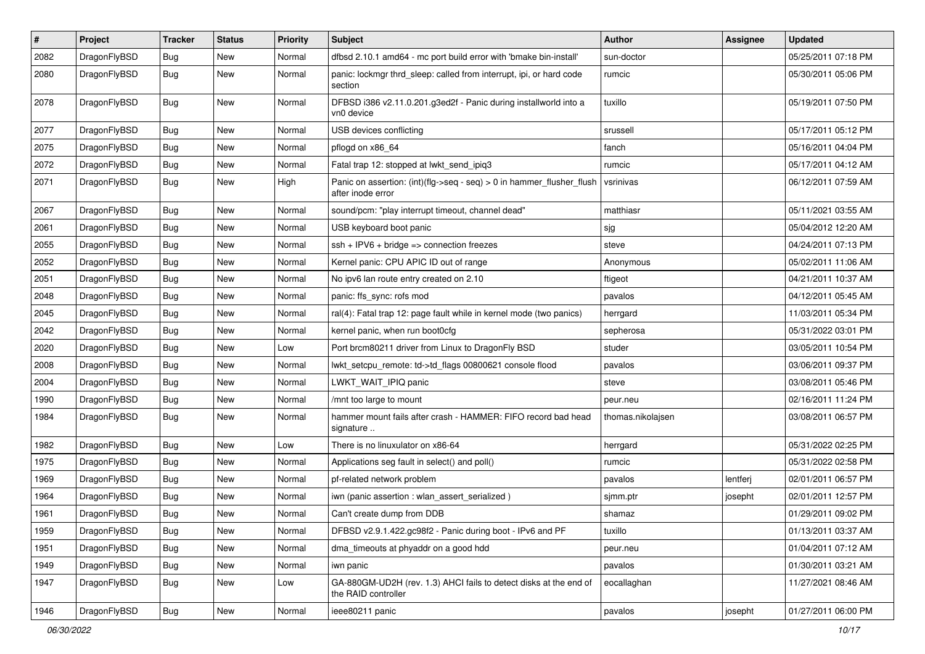| $\sharp$ | Project      | <b>Tracker</b> | <b>Status</b> | <b>Priority</b> | Subject                                                                                    | Author            | Assignee | <b>Updated</b>      |
|----------|--------------|----------------|---------------|-----------------|--------------------------------------------------------------------------------------------|-------------------|----------|---------------------|
| 2082     | DragonFlyBSD | Bug            | <b>New</b>    | Normal          | dfbsd 2.10.1 amd64 - mc port build error with 'bmake bin-install'                          | sun-doctor        |          | 05/25/2011 07:18 PM |
| 2080     | DragonFlyBSD | <b>Bug</b>     | New           | Normal          | panic: lockmgr thrd sleep: called from interrupt, ipi, or hard code<br>section             | rumcic            |          | 05/30/2011 05:06 PM |
| 2078     | DragonFlyBSD | <b>Bug</b>     | <b>New</b>    | Normal          | DFBSD i386 v2.11.0.201.g3ed2f - Panic during installworld into a<br>vn0 device             | tuxillo           |          | 05/19/2011 07:50 PM |
| 2077     | DragonFlyBSD | Bug            | <b>New</b>    | Normal          | USB devices conflicting                                                                    | srussell          |          | 05/17/2011 05:12 PM |
| 2075     | DragonFlyBSD | <b>Bug</b>     | <b>New</b>    | Normal          | pflogd on x86 64                                                                           | fanch             |          | 05/16/2011 04:04 PM |
| 2072     | DragonFlyBSD | <b>Bug</b>     | <b>New</b>    | Normal          | Fatal trap 12: stopped at lwkt send ipig3                                                  | rumcic            |          | 05/17/2011 04:12 AM |
| 2071     | DragonFlyBSD | <b>Bug</b>     | New           | High            | Panic on assertion: (int)(flg->seq - seq) > 0 in hammer_flusher_flush<br>after inode error | vsrinivas         |          | 06/12/2011 07:59 AM |
| 2067     | DragonFlyBSD | Bug            | <b>New</b>    | Normal          | sound/pcm: "play interrupt timeout, channel dead"                                          | matthiasr         |          | 05/11/2021 03:55 AM |
| 2061     | DragonFlyBSD | <b>Bug</b>     | <b>New</b>    | Normal          | USB keyboard boot panic                                                                    | sjg               |          | 05/04/2012 12:20 AM |
| 2055     | DragonFlyBSD | Bug            | <b>New</b>    | Normal          | $ssh + IPV6 + bridge \Rightarrow connection freezes$                                       | steve             |          | 04/24/2011 07:13 PM |
| 2052     | DragonFlyBSD | <b>Bug</b>     | New           | Normal          | Kernel panic: CPU APIC ID out of range                                                     | Anonymous         |          | 05/02/2011 11:06 AM |
| 2051     | DragonFlyBSD | <b>Bug</b>     | <b>New</b>    | Normal          | No ipv6 lan route entry created on 2.10                                                    | ftigeot           |          | 04/21/2011 10:37 AM |
| 2048     | DragonFlyBSD | <b>Bug</b>     | <b>New</b>    | Normal          | panic: ffs sync: rofs mod                                                                  | pavalos           |          | 04/12/2011 05:45 AM |
| 2045     | DragonFlyBSD | <b>Bug</b>     | <b>New</b>    | Normal          | ral(4): Fatal trap 12: page fault while in kernel mode (two panics)                        | herrgard          |          | 11/03/2011 05:34 PM |
| 2042     | DragonFlyBSD | Bug            | <b>New</b>    | Normal          | kernel panic, when run boot0cfg                                                            | sepherosa         |          | 05/31/2022 03:01 PM |
| 2020     | DragonFlyBSD | <b>Bug</b>     | New           | Low             | Port brcm80211 driver from Linux to DragonFly BSD                                          | studer            |          | 03/05/2011 10:54 PM |
| 2008     | DragonFlyBSD | <b>Bug</b>     | New           | Normal          | lwkt_setcpu_remote: td->td_flags 00800621 console flood                                    | pavalos           |          | 03/06/2011 09:37 PM |
| 2004     | DragonFlyBSD | <b>Bug</b>     | <b>New</b>    | Normal          | LWKT_WAIT_IPIQ panic                                                                       | steve             |          | 03/08/2011 05:46 PM |
| 1990     | DragonFlyBSD | <b>Bug</b>     | <b>New</b>    | Normal          | /mnt too large to mount                                                                    | peur.neu          |          | 02/16/2011 11:24 PM |
| 1984     | DragonFlyBSD | <b>Bug</b>     | New           | Normal          | hammer mount fails after crash - HAMMER: FIFO record bad head<br>signature                 | thomas.nikolajsen |          | 03/08/2011 06:57 PM |
| 1982     | DragonFlyBSD | Bug            | <b>New</b>    | Low             | There is no linuxulator on x86-64                                                          | herrgard          |          | 05/31/2022 02:25 PM |
| 1975     | DragonFlyBSD | Bug            | <b>New</b>    | Normal          | Applications seg fault in select() and poll()                                              | rumcic            |          | 05/31/2022 02:58 PM |
| 1969     | DragonFlyBSD | <b>Bug</b>     | New           | Normal          | pf-related network problem                                                                 | pavalos           | lentferj | 02/01/2011 06:57 PM |
| 1964     | DragonFlyBSD | <b>Bug</b>     | New           | Normal          | iwn (panic assertion : wlan_assert_serialized)                                             | sjmm.ptr          | josepht  | 02/01/2011 12:57 PM |
| 1961     | DragonFlyBSD | <b>Bug</b>     | <b>New</b>    | Normal          | Can't create dump from DDB                                                                 | shamaz            |          | 01/29/2011 09:02 PM |
| 1959     | DragonFlyBSD | <b>Bug</b>     | New           | Normal          | DFBSD v2.9.1.422.gc98f2 - Panic during boot - IPv6 and PF                                  | tuxillo           |          | 01/13/2011 03:37 AM |
| 1951     | DragonFlyBSD | <b>Bug</b>     | New           | Normal          | dma_timeouts at phyaddr on a good hdd                                                      | peur.neu          |          | 01/04/2011 07:12 AM |
| 1949     | DragonFlyBSD | <b>Bug</b>     | New           | Normal          | iwn panic                                                                                  | pavalos           |          | 01/30/2011 03:21 AM |
| 1947     | DragonFlyBSD | <b>Bug</b>     | New           | Low             | GA-880GM-UD2H (rev. 1.3) AHCI fails to detect disks at the end of<br>the RAID controller   | eocallaghan       |          | 11/27/2021 08:46 AM |
| 1946     | DragonFlyBSD | Bug            | New           | Normal          | ieee80211 panic                                                                            | pavalos           | josepht  | 01/27/2011 06:00 PM |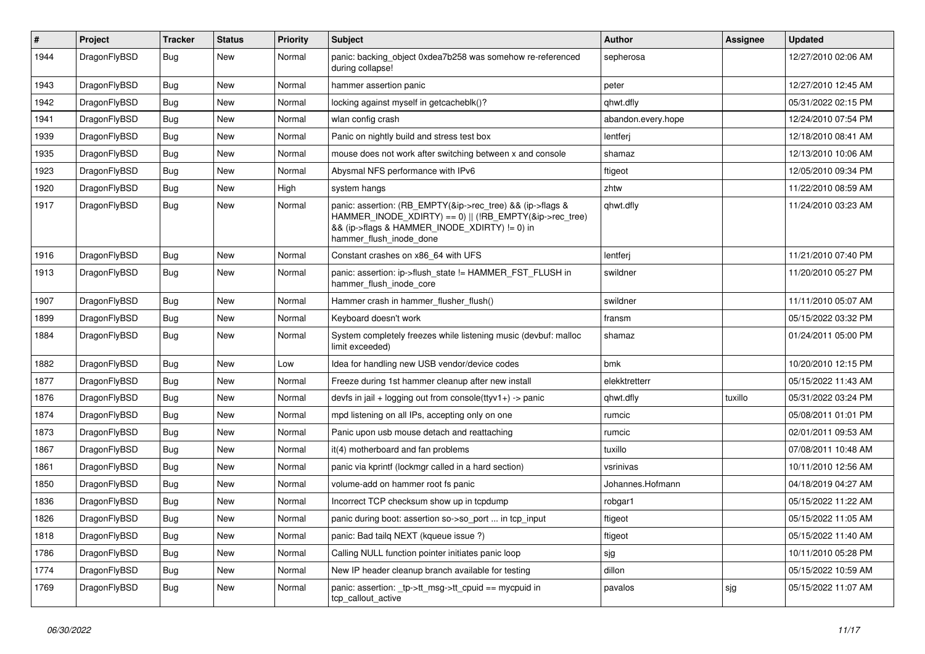| #    | Project      | <b>Tracker</b> | <b>Status</b> | <b>Priority</b> | <b>Subject</b>                                                                                                                                                                                    | Author             | Assignee | <b>Updated</b>      |
|------|--------------|----------------|---------------|-----------------|---------------------------------------------------------------------------------------------------------------------------------------------------------------------------------------------------|--------------------|----------|---------------------|
| 1944 | DragonFlyBSD | Bug            | New           | Normal          | panic: backing object 0xdea7b258 was somehow re-referenced<br>during collapse!                                                                                                                    | sepherosa          |          | 12/27/2010 02:06 AM |
| 1943 | DragonFlyBSD | <b>Bug</b>     | <b>New</b>    | Normal          | hammer assertion panic                                                                                                                                                                            | peter              |          | 12/27/2010 12:45 AM |
| 1942 | DragonFlyBSD | Bug            | New           | Normal          | locking against myself in getcacheblk()?                                                                                                                                                          | qhwt.dfly          |          | 05/31/2022 02:15 PM |
| 1941 | DragonFlyBSD | <b>Bug</b>     | <b>New</b>    | Normal          | wlan config crash                                                                                                                                                                                 | abandon.every.hope |          | 12/24/2010 07:54 PM |
| 1939 | DragonFlyBSD | <b>Bug</b>     | <b>New</b>    | Normal          | Panic on nightly build and stress test box                                                                                                                                                        | lentferj           |          | 12/18/2010 08:41 AM |
| 1935 | DragonFlyBSD | Bug            | <b>New</b>    | Normal          | mouse does not work after switching between x and console                                                                                                                                         | shamaz             |          | 12/13/2010 10:06 AM |
| 1923 | DragonFlyBSD | <b>Bug</b>     | New           | Normal          | Abysmal NFS performance with IPv6                                                                                                                                                                 | ftigeot            |          | 12/05/2010 09:34 PM |
| 1920 | DragonFlyBSD | Bug            | <b>New</b>    | High            | system hangs                                                                                                                                                                                      | zhtw               |          | 11/22/2010 08:59 AM |
| 1917 | DragonFlyBSD | Bug            | New           | Normal          | panic: assertion: (RB_EMPTY(&ip->rec_tree) && (ip->flags &<br>HAMMER_INODE_XDIRTY) == 0)    (!RB_EMPTY(&ip->rec_tree)<br>&& (ip->flags & HAMMER_INODE_XDIRTY) != 0) in<br>hammer_flush_inode_done | qhwt.dfly          |          | 11/24/2010 03:23 AM |
| 1916 | DragonFlyBSD | <b>Bug</b>     | New           | Normal          | Constant crashes on x86 64 with UFS                                                                                                                                                               | lentferj           |          | 11/21/2010 07:40 PM |
| 1913 | DragonFlyBSD | Bug            | <b>New</b>    | Normal          | panic: assertion: ip->flush_state != HAMMER_FST_FLUSH in<br>hammer_flush_inode_core                                                                                                               | swildner           |          | 11/20/2010 05:27 PM |
| 1907 | DragonFlyBSD | <b>Bug</b>     | <b>New</b>    | Normal          | Hammer crash in hammer flusher flush()                                                                                                                                                            | swildner           |          | 11/11/2010 05:07 AM |
| 1899 | DragonFlyBSD | <b>Bug</b>     | <b>New</b>    | Normal          | Keyboard doesn't work                                                                                                                                                                             | fransm             |          | 05/15/2022 03:32 PM |
| 1884 | DragonFlyBSD | <b>Bug</b>     | New           | Normal          | System completely freezes while listening music (devbuf: malloc<br>limit exceeded)                                                                                                                | shamaz             |          | 01/24/2011 05:00 PM |
| 1882 | DragonFlyBSD | <b>Bug</b>     | <b>New</b>    | Low             | Idea for handling new USB vendor/device codes                                                                                                                                                     | bmk                |          | 10/20/2010 12:15 PM |
| 1877 | DragonFlyBSD | Bug            | New           | Normal          | Freeze during 1st hammer cleanup after new install                                                                                                                                                | elekktretterr      |          | 05/15/2022 11:43 AM |
| 1876 | DragonFlyBSD | Bug            | <b>New</b>    | Normal          | devfs in jail + logging out from console(ttyv1+) -> panic                                                                                                                                         | qhwt.dfly          | tuxillo  | 05/31/2022 03:24 PM |
| 1874 | DragonFlyBSD | <b>Bug</b>     | New           | Normal          | mpd listening on all IPs, accepting only on one                                                                                                                                                   | rumcic             |          | 05/08/2011 01:01 PM |
| 1873 | DragonFlyBSD | Bug            | <b>New</b>    | Normal          | Panic upon usb mouse detach and reattaching                                                                                                                                                       | rumcic             |          | 02/01/2011 09:53 AM |
| 1867 | DragonFlyBSD | Bug            | <b>New</b>    | Normal          | it(4) motherboard and fan problems                                                                                                                                                                | tuxillo            |          | 07/08/2011 10:48 AM |
| 1861 | DragonFlyBSD | <b>Bug</b>     | <b>New</b>    | Normal          | panic via kprintf (lockmgr called in a hard section)                                                                                                                                              | vsrinivas          |          | 10/11/2010 12:56 AM |
| 1850 | DragonFlyBSD | Bug            | <b>New</b>    | Normal          | volume-add on hammer root fs panic                                                                                                                                                                | Johannes.Hofmann   |          | 04/18/2019 04:27 AM |
| 1836 | DragonFlyBSD | <b>Bug</b>     | <b>New</b>    | Normal          | Incorrect TCP checksum show up in tcpdump                                                                                                                                                         | robgar1            |          | 05/15/2022 11:22 AM |
| 1826 | DragonFlyBSD | Bug            | New           | Normal          | panic during boot: assertion so->so_port  in tcp_input                                                                                                                                            | ftigeot            |          | 05/15/2022 11:05 AM |
| 1818 | DragonFlyBSD | <b>Bug</b>     | New           | Normal          | panic: Bad tailq NEXT (kqueue issue ?)                                                                                                                                                            | ftigeot            |          | 05/15/2022 11:40 AM |
| 1786 | DragonFlyBSD | <b>Bug</b>     | New           | Normal          | Calling NULL function pointer initiates panic loop                                                                                                                                                | sjg                |          | 10/11/2010 05:28 PM |
| 1774 | DragonFlyBSD | <b>Bug</b>     | New           | Normal          | New IP header cleanup branch available for testing                                                                                                                                                | dillon             |          | 05/15/2022 10:59 AM |
| 1769 | DragonFlyBSD | <b>Bug</b>     | New           | Normal          | panic: assertion: _tp->tt_msg->tt_cpuid == mycpuid in<br>tcp_callout_active                                                                                                                       | pavalos            | sjg      | 05/15/2022 11:07 AM |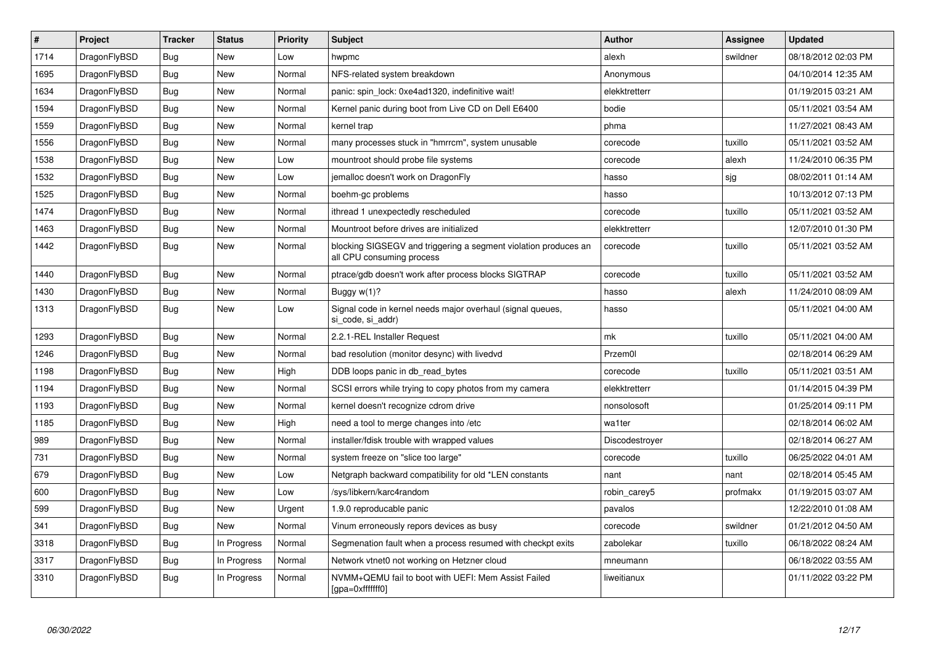| $\vert$ # | Project      | <b>Tracker</b> | <b>Status</b> | <b>Priority</b> | <b>Subject</b>                                                                               | <b>Author</b>  | Assignee | <b>Updated</b>      |
|-----------|--------------|----------------|---------------|-----------------|----------------------------------------------------------------------------------------------|----------------|----------|---------------------|
| 1714      | DragonFlyBSD | <b>Bug</b>     | <b>New</b>    | Low             | hwpmc                                                                                        | alexh          | swildner | 08/18/2012 02:03 PM |
| 1695      | DragonFlyBSD | Bug            | <b>New</b>    | Normal          | NFS-related system breakdown                                                                 | Anonymous      |          | 04/10/2014 12:35 AM |
| 1634      | DragonFlyBSD | <b>Bug</b>     | <b>New</b>    | Normal          | panic: spin lock: 0xe4ad1320, indefinitive wait!                                             | elekktretterr  |          | 01/19/2015 03:21 AM |
| 1594      | DragonFlyBSD | Bug            | New           | Normal          | Kernel panic during boot from Live CD on Dell E6400                                          | bodie          |          | 05/11/2021 03:54 AM |
| 1559      | DragonFlyBSD | <b>Bug</b>     | <b>New</b>    | Normal          | kernel trap                                                                                  | phma           |          | 11/27/2021 08:43 AM |
| 1556      | DragonFlyBSD | <b>Bug</b>     | New           | Normal          | many processes stuck in "hmrrcm", system unusable                                            | corecode       | tuxillo  | 05/11/2021 03:52 AM |
| 1538      | DragonFlyBSD | <b>Bug</b>     | <b>New</b>    | Low             | mountroot should probe file systems                                                          | corecode       | alexh    | 11/24/2010 06:35 PM |
| 1532      | DragonFlyBSD | <b>Bug</b>     | New           | Low             | jemalloc doesn't work on DragonFly                                                           | hasso          | sjg      | 08/02/2011 01:14 AM |
| 1525      | DragonFlyBSD | <b>Bug</b>     | <b>New</b>    | Normal          | boehm-gc problems                                                                            | hasso          |          | 10/13/2012 07:13 PM |
| 1474      | DragonFlyBSD | Bug            | <b>New</b>    | Normal          | ithread 1 unexpectedly rescheduled                                                           | corecode       | tuxillo  | 05/11/2021 03:52 AM |
| 1463      | DragonFlyBSD | <b>Bug</b>     | <b>New</b>    | Normal          | Mountroot before drives are initialized                                                      | elekktretterr  |          | 12/07/2010 01:30 PM |
| 1442      | DragonFlyBSD | <b>Bug</b>     | <b>New</b>    | Normal          | blocking SIGSEGV and triggering a segment violation produces an<br>all CPU consuming process | corecode       | tuxillo  | 05/11/2021 03:52 AM |
| 1440      | DragonFlyBSD | Bug            | <b>New</b>    | Normal          | ptrace/gdb doesn't work after process blocks SIGTRAP                                         | corecode       | tuxillo  | 05/11/2021 03:52 AM |
| 1430      | DragonFlyBSD | <b>Bug</b>     | <b>New</b>    | Normal          | Buggy $w(1)$ ?                                                                               | hasso          | alexh    | 11/24/2010 08:09 AM |
| 1313      | DragonFlyBSD | Bug            | <b>New</b>    | Low             | Signal code in kernel needs major overhaul (signal queues,<br>si_code, si_addr)              | hasso          |          | 05/11/2021 04:00 AM |
| 1293      | DragonFlyBSD | Bug            | <b>New</b>    | Normal          | 2.2.1-REL Installer Request                                                                  | mk             | tuxillo  | 05/11/2021 04:00 AM |
| 1246      | DragonFlyBSD | <b>Bug</b>     | New           | Normal          | bad resolution (monitor desync) with livedvd                                                 | Przem0l        |          | 02/18/2014 06:29 AM |
| 1198      | DragonFlyBSD | Bug            | New           | High            | DDB loops panic in db read bytes                                                             | corecode       | tuxillo  | 05/11/2021 03:51 AM |
| 1194      | DragonFlyBSD | <b>Bug</b>     | New           | Normal          | SCSI errors while trying to copy photos from my camera                                       | elekktretterr  |          | 01/14/2015 04:39 PM |
| 1193      | DragonFlyBSD | <b>Bug</b>     | New           | Normal          | kernel doesn't recognize cdrom drive                                                         | nonsolosoft    |          | 01/25/2014 09:11 PM |
| 1185      | DragonFlyBSD | <b>Bug</b>     | <b>New</b>    | High            | need a tool to merge changes into /etc                                                       | wa1ter         |          | 02/18/2014 06:02 AM |
| 989       | DragonFlyBSD | Bug            | <b>New</b>    | Normal          | installer/fdisk trouble with wrapped values                                                  | Discodestroyer |          | 02/18/2014 06:27 AM |
| 731       | DragonFlyBSD | <b>Bug</b>     | <b>New</b>    | Normal          | system freeze on "slice too large"                                                           | corecode       | tuxillo  | 06/25/2022 04:01 AM |
| 679       | DragonFlyBSD | <b>Bug</b>     | <b>New</b>    | Low             | Netgraph backward compatibility for old *LEN constants                                       | nant           | nant     | 02/18/2014 05:45 AM |
| 600       | DragonFlyBSD | <b>Bug</b>     | <b>New</b>    | Low             | /sys/libkern/karc4random                                                                     | robin_carey5   | profmakx | 01/19/2015 03:07 AM |
| 599       | DragonFlyBSD | Bug            | <b>New</b>    | Urgent          | 1.9.0 reproducable panic                                                                     | pavalos        |          | 12/22/2010 01:08 AM |
| 341       | DragonFlyBSD | <b>Bug</b>     | <b>New</b>    | Normal          | Vinum erroneously repors devices as busy                                                     | corecode       | swildner | 01/21/2012 04:50 AM |
| 3318      | DragonFlyBSD | Bug            | In Progress   | Normal          | Segmenation fault when a process resumed with checkpt exits                                  | zabolekar      | tuxillo  | 06/18/2022 08:24 AM |
| 3317      | DragonFlyBSD | <b>Bug</b>     | In Progress   | Normal          | Network vtnet0 not working on Hetzner cloud                                                  | mneumann       |          | 06/18/2022 03:55 AM |
| 3310      | DragonFlyBSD | Bug            | In Progress   | Normal          | NVMM+QEMU fail to boot with UEFI: Mem Assist Failed<br>[gpa=0xfffffff0]                      | liweitianux    |          | 01/11/2022 03:22 PM |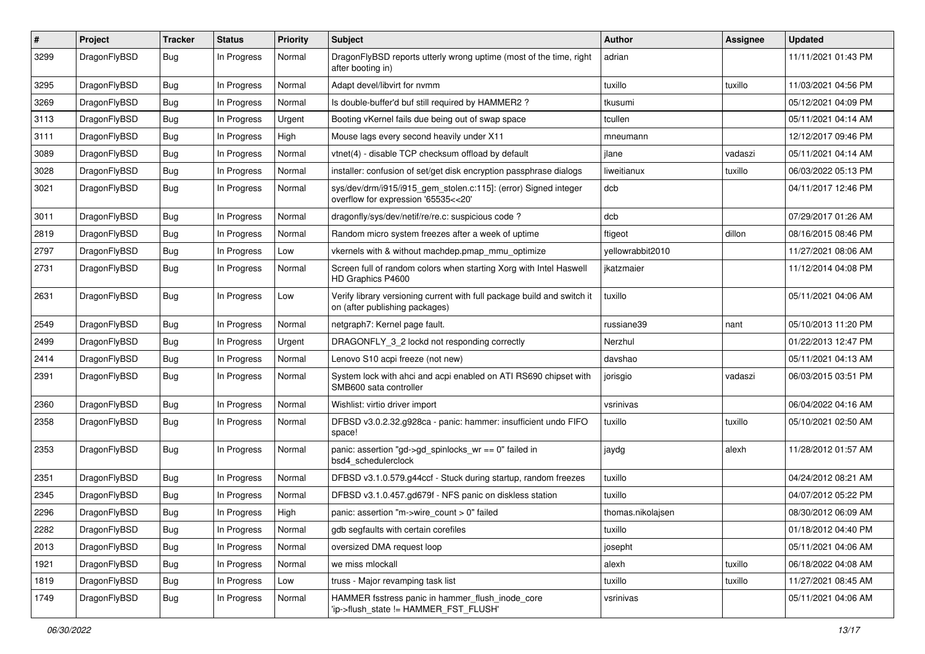| $\sharp$ | Project      | <b>Tracker</b> | <b>Status</b> | <b>Priority</b> | Subject                                                                                                   | <b>Author</b>     | Assignee | <b>Updated</b>      |
|----------|--------------|----------------|---------------|-----------------|-----------------------------------------------------------------------------------------------------------|-------------------|----------|---------------------|
| 3299     | DragonFlyBSD | Bug            | In Progress   | Normal          | DragonFlyBSD reports utterly wrong uptime (most of the time, right<br>after booting in)                   | adrian            |          | 11/11/2021 01:43 PM |
| 3295     | DragonFlyBSD | Bug            | In Progress   | Normal          | Adapt devel/libvirt for nvmm                                                                              | tuxillo           | tuxillo  | 11/03/2021 04:56 PM |
| 3269     | DragonFlyBSD | <b>Bug</b>     | In Progress   | Normal          | Is double-buffer'd buf still required by HAMMER2?                                                         | tkusumi           |          | 05/12/2021 04:09 PM |
| 3113     | DragonFlyBSD | Bug            | In Progress   | Urgent          | Booting vKernel fails due being out of swap space                                                         | tcullen           |          | 05/11/2021 04:14 AM |
| 3111     | DragonFlyBSD | Bug            | In Progress   | High            | Mouse lags every second heavily under X11                                                                 | mneumann          |          | 12/12/2017 09:46 PM |
| 3089     | DragonFlyBSD | Bug            | In Progress   | Normal          | vtnet(4) - disable TCP checksum offload by default                                                        | jlane             | vadaszi  | 05/11/2021 04:14 AM |
| 3028     | DragonFlyBSD | Bug            | In Progress   | Normal          | installer: confusion of set/get disk encryption passphrase dialogs                                        | liweitianux       | tuxillo  | 06/03/2022 05:13 PM |
| 3021     | DragonFlyBSD | Bug            | In Progress   | Normal          | sys/dev/drm/i915/i915_gem_stolen.c:115]: (error) Signed integer<br>overflow for expression '65535<<20'    | dcb               |          | 04/11/2017 12:46 PM |
| 3011     | DragonFlyBSD | Bug            | In Progress   | Normal          | dragonfly/sys/dev/netif/re/re.c: suspicious code?                                                         | dcb               |          | 07/29/2017 01:26 AM |
| 2819     | DragonFlyBSD | Bug            | In Progress   | Normal          | Random micro system freezes after a week of uptime                                                        | ftigeot           | dillon   | 08/16/2015 08:46 PM |
| 2797     | DragonFlyBSD | Bug            | In Progress   | Low             | vkernels with & without machdep.pmap_mmu_optimize                                                         | yellowrabbit2010  |          | 11/27/2021 08:06 AM |
| 2731     | DragonFlyBSD | <b>Bug</b>     | In Progress   | Normal          | Screen full of random colors when starting Xorg with Intel Haswell<br>HD Graphics P4600                   | jkatzmaier        |          | 11/12/2014 04:08 PM |
| 2631     | DragonFlyBSD | Bug            | In Progress   | Low             | Verify library versioning current with full package build and switch it<br>on (after publishing packages) | tuxillo           |          | 05/11/2021 04:06 AM |
| 2549     | DragonFlyBSD | Bug            | In Progress   | Normal          | netgraph7: Kernel page fault.                                                                             | russiane39        | nant     | 05/10/2013 11:20 PM |
| 2499     | DragonFlyBSD | Bug            | In Progress   | Urgent          | DRAGONFLY_3_2 lockd not responding correctly                                                              | Nerzhul           |          | 01/22/2013 12:47 PM |
| 2414     | DragonFlyBSD | <b>Bug</b>     | In Progress   | Normal          | Lenovo S10 acpi freeze (not new)                                                                          | davshao           |          | 05/11/2021 04:13 AM |
| 2391     | DragonFlyBSD | Bug            | In Progress   | Normal          | System lock with ahci and acpi enabled on ATI RS690 chipset with<br>SMB600 sata controller                | jorisgio          | vadaszi  | 06/03/2015 03:51 PM |
| 2360     | DragonFlyBSD | Bug            | In Progress   | Normal          | Wishlist: virtio driver import                                                                            | vsrinivas         |          | 06/04/2022 04:16 AM |
| 2358     | DragonFlyBSD | Bug            | In Progress   | Normal          | DFBSD v3.0.2.32.g928ca - panic: hammer: insufficient undo FIFO<br>space!                                  | tuxillo           | tuxillo  | 05/10/2021 02:50 AM |
| 2353     | DragonFlyBSD | <b>Bug</b>     | In Progress   | Normal          | panic: assertion "gd->gd_spinlocks_wr == 0" failed in<br>bsd4 schedulerclock                              | jaydg             | alexh    | 11/28/2012 01:57 AM |
| 2351     | DragonFlyBSD | Bug            | In Progress   | Normal          | DFBSD v3.1.0.579.g44ccf - Stuck during startup, random freezes                                            | tuxillo           |          | 04/24/2012 08:21 AM |
| 2345     | DragonFlyBSD | Bug            | In Progress   | Normal          | DFBSD v3.1.0.457.gd679f - NFS panic on diskless station                                                   | tuxillo           |          | 04/07/2012 05:22 PM |
| 2296     | DragonFlyBSD | <b>Bug</b>     | In Progress   | High            | panic: assertion "m->wire count > 0" failed                                                               | thomas.nikolajsen |          | 08/30/2012 06:09 AM |
| 2282     | DragonFlyBSD | <b>Bug</b>     | In Progress   | Normal          | gdb segfaults with certain corefiles                                                                      | tuxillo           |          | 01/18/2012 04:40 PM |
| 2013     | DragonFlyBSD | <b>Bug</b>     | In Progress   | Normal          | oversized DMA request loop                                                                                | josepht           |          | 05/11/2021 04:06 AM |
| 1921     | DragonFlyBSD | Bug            | In Progress   | Normal          | we miss mlockall                                                                                          | alexh             | tuxillo  | 06/18/2022 04:08 AM |
| 1819     | DragonFlyBSD | <b>Bug</b>     | In Progress   | Low             | truss - Major revamping task list                                                                         | tuxillo           | tuxillo  | 11/27/2021 08:45 AM |
| 1749     | DragonFlyBSD | <b>Bug</b>     | In Progress   | Normal          | HAMMER fsstress panic in hammer flush inode core<br>'ip->flush_state != HAMMER_FST_FLUSH'                 | vsrinivas         |          | 05/11/2021 04:06 AM |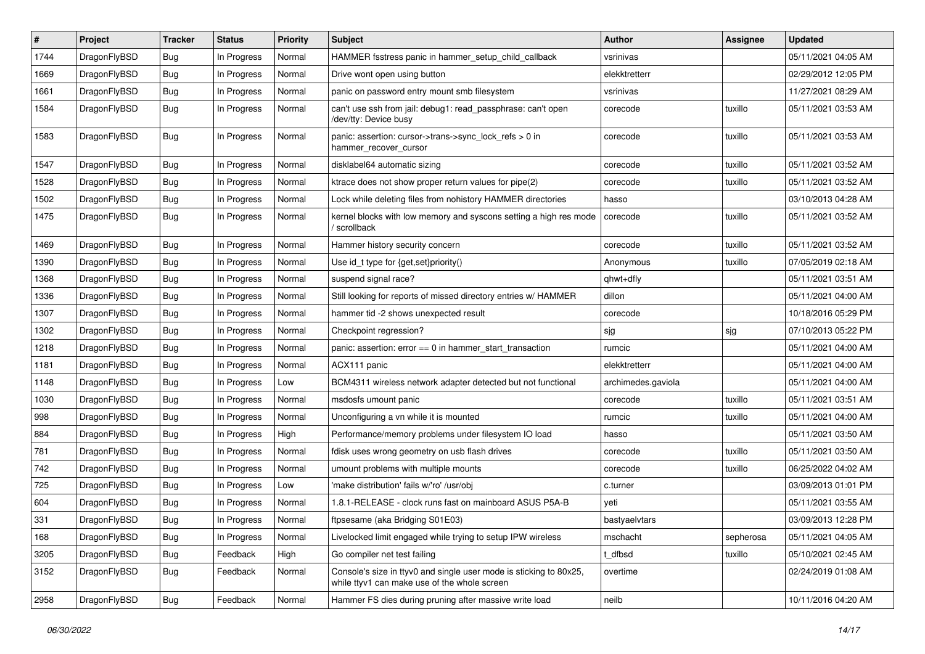| $\#$ | Project      | <b>Tracker</b> | <b>Status</b> | <b>Priority</b> | <b>Subject</b>                                                                                                     | <b>Author</b>      | Assignee  | <b>Updated</b>      |
|------|--------------|----------------|---------------|-----------------|--------------------------------------------------------------------------------------------------------------------|--------------------|-----------|---------------------|
| 1744 | DragonFlyBSD | <b>Bug</b>     | In Progress   | Normal          | HAMMER fsstress panic in hammer_setup_child_callback                                                               | vsrinivas          |           | 05/11/2021 04:05 AM |
| 1669 | DragonFlyBSD | <b>Bug</b>     | In Progress   | Normal          | Drive wont open using button                                                                                       | elekktretterr      |           | 02/29/2012 12:05 PM |
| 1661 | DragonFlyBSD | Bug            | In Progress   | Normal          | panic on password entry mount smb filesystem                                                                       | vsrinivas          |           | 11/27/2021 08:29 AM |
| 1584 | DragonFlyBSD | Bug            | In Progress   | Normal          | can't use ssh from jail: debug1: read_passphrase: can't open<br>/dev/tty: Device busy                              | corecode           | tuxillo   | 05/11/2021 03:53 AM |
| 1583 | DragonFlyBSD | <b>Bug</b>     | In Progress   | Normal          | panic: assertion: cursor->trans->sync_lock_refs > 0 in<br>hammer_recover_cursor                                    | corecode           | tuxillo   | 05/11/2021 03:53 AM |
| 1547 | DragonFlyBSD | <b>Bug</b>     | In Progress   | Normal          | disklabel64 automatic sizing                                                                                       | corecode           | tuxillo   | 05/11/2021 03:52 AM |
| 1528 | DragonFlyBSD | <b>Bug</b>     | In Progress   | Normal          | ktrace does not show proper return values for pipe(2)                                                              | corecode           | tuxillo   | 05/11/2021 03:52 AM |
| 1502 | DragonFlyBSD | <b>Bug</b>     | In Progress   | Normal          | Lock while deleting files from nohistory HAMMER directories                                                        | hasso              |           | 03/10/2013 04:28 AM |
| 1475 | DragonFlyBSD | <b>Bug</b>     | In Progress   | Normal          | kernel blocks with low memory and syscons setting a high res mode<br>/ scrollback                                  | corecode           | tuxillo   | 05/11/2021 03:52 AM |
| 1469 | DragonFlyBSD | <b>Bug</b>     | In Progress   | Normal          | Hammer history security concern                                                                                    | corecode           | tuxillo   | 05/11/2021 03:52 AM |
| 1390 | DragonFlyBSD | Bug            | In Progress   | Normal          | Use id t type for {get, set}priority()                                                                             | Anonymous          | tuxillo   | 07/05/2019 02:18 AM |
| 1368 | DragonFlyBSD | <b>Bug</b>     | In Progress   | Normal          | suspend signal race?                                                                                               | qhwt+dfly          |           | 05/11/2021 03:51 AM |
| 1336 | DragonFlyBSD | <b>Bug</b>     | In Progress   | Normal          | Still looking for reports of missed directory entries w/ HAMMER                                                    | dillon             |           | 05/11/2021 04:00 AM |
| 1307 | DragonFlyBSD | Bug            | In Progress   | Normal          | hammer tid -2 shows unexpected result                                                                              | corecode           |           | 10/18/2016 05:29 PM |
| 1302 | DragonFlyBSD | <b>Bug</b>     | In Progress   | Normal          | Checkpoint regression?                                                                                             | sjg                | sjg       | 07/10/2013 05:22 PM |
| 1218 | DragonFlyBSD | <b>Bug</b>     | In Progress   | Normal          | panic: assertion: $error == 0$ in hammer start transaction                                                         | rumcic             |           | 05/11/2021 04:00 AM |
| 1181 | DragonFlyBSD | Bug            | In Progress   | Normal          | ACX111 panic                                                                                                       | elekktretterr      |           | 05/11/2021 04:00 AM |
| 1148 | DragonFlyBSD | Bug            | In Progress   | Low             | BCM4311 wireless network adapter detected but not functional                                                       | archimedes.gaviola |           | 05/11/2021 04:00 AM |
| 1030 | DragonFlyBSD | <b>Bug</b>     | In Progress   | Normal          | msdosfs umount panic                                                                                               | corecode           | tuxillo   | 05/11/2021 03:51 AM |
| 998  | DragonFlyBSD | <b>Bug</b>     | In Progress   | Normal          | Unconfiguring a vn while it is mounted                                                                             | rumcic             | tuxillo   | 05/11/2021 04:00 AM |
| 884  | DragonFlyBSD | Bug            | In Progress   | High            | Performance/memory problems under filesystem IO load                                                               | hasso              |           | 05/11/2021 03:50 AM |
| 781  | DragonFlyBSD | Bug            | In Progress   | Normal          | fdisk uses wrong geometry on usb flash drives                                                                      | corecode           | tuxillo   | 05/11/2021 03:50 AM |
| 742  | DragonFlyBSD | Bug            | In Progress   | Normal          | umount problems with multiple mounts                                                                               | corecode           | tuxillo   | 06/25/2022 04:02 AM |
| 725  | DragonFlyBSD | <b>Bug</b>     | In Progress   | Low             | 'make distribution' fails w/'ro' /usr/obj                                                                          | c.turner           |           | 03/09/2013 01:01 PM |
| 604  | DragonFlyBSD | <b>Bug</b>     | In Progress   | Normal          | 1.8.1-RELEASE - clock runs fast on mainboard ASUS P5A-B                                                            | yeti               |           | 05/11/2021 03:55 AM |
| 331  | DragonFlyBSD | Bug            | In Progress   | Normal          | ftpsesame (aka Bridging S01E03)                                                                                    | bastyaelvtars      |           | 03/09/2013 12:28 PM |
| 168  | DragonFlyBSD | Bug            | In Progress   | Normal          | Livelocked limit engaged while trying to setup IPW wireless                                                        | mschacht           | sepherosa | 05/11/2021 04:05 AM |
| 3205 | DragonFlyBSD | Bug            | Feedback      | High            | Go compiler net test failing                                                                                       | t_dfbsd            | tuxillo   | 05/10/2021 02:45 AM |
| 3152 | DragonFlyBSD | <b>Bug</b>     | Feedback      | Normal          | Console's size in ttyv0 and single user mode is sticking to 80x25,<br>while ttyv1 can make use of the whole screen | overtime           |           | 02/24/2019 01:08 AM |
| 2958 | DragonFlyBSD | <b>Bug</b>     | Feedback      | Normal          | Hammer FS dies during pruning after massive write load                                                             | neilb              |           | 10/11/2016 04:20 AM |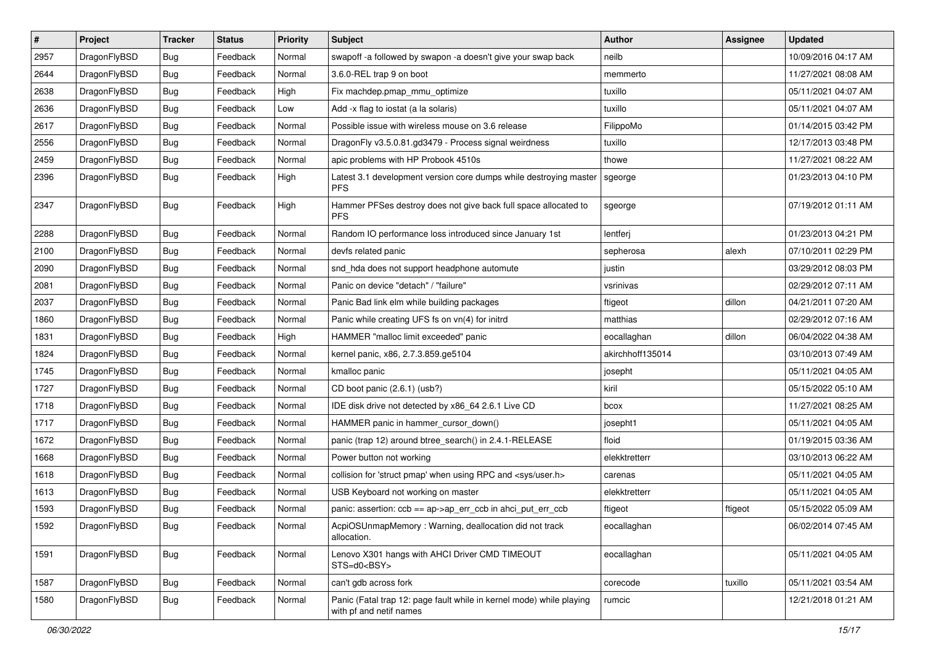| $\vert$ # | Project      | <b>Tracker</b> | <b>Status</b> | <b>Priority</b> | Subject                                                                                         | <b>Author</b>    | <b>Assignee</b> | <b>Updated</b>      |
|-----------|--------------|----------------|---------------|-----------------|-------------------------------------------------------------------------------------------------|------------------|-----------------|---------------------|
| 2957      | DragonFlyBSD | Bug            | Feedback      | Normal          | swapoff -a followed by swapon -a doesn't give your swap back                                    | neilb            |                 | 10/09/2016 04:17 AM |
| 2644      | DragonFlyBSD | Bug            | Feedback      | Normal          | 3.6.0-REL trap 9 on boot                                                                        | memmerto         |                 | 11/27/2021 08:08 AM |
| 2638      | DragonFlyBSD | <b>Bug</b>     | Feedback      | High            | Fix machdep.pmap_mmu_optimize                                                                   | tuxillo          |                 | 05/11/2021 04:07 AM |
| 2636      | DragonFlyBSD | <b>Bug</b>     | Feedback      | Low             | Add -x flag to iostat (a la solaris)                                                            | tuxillo          |                 | 05/11/2021 04:07 AM |
| 2617      | DragonFlyBSD | Bug            | Feedback      | Normal          | Possible issue with wireless mouse on 3.6 release                                               | FilippoMo        |                 | 01/14/2015 03:42 PM |
| 2556      | DragonFlyBSD | <b>Bug</b>     | Feedback      | Normal          | DragonFly v3.5.0.81.gd3479 - Process signal weirdness                                           | tuxillo          |                 | 12/17/2013 03:48 PM |
| 2459      | DragonFlyBSD | Bug            | Feedback      | Normal          | apic problems with HP Probook 4510s                                                             | thowe            |                 | 11/27/2021 08:22 AM |
| 2396      | DragonFlyBSD | <b>Bug</b>     | Feedback      | High            | Latest 3.1 development version core dumps while destroying master<br><b>PFS</b>                 | sgeorge          |                 | 01/23/2013 04:10 PM |
| 2347      | DragonFlyBSD | <b>Bug</b>     | Feedback      | High            | Hammer PFSes destroy does not give back full space allocated to<br><b>PFS</b>                   | sgeorge          |                 | 07/19/2012 01:11 AM |
| 2288      | DragonFlyBSD | <b>Bug</b>     | Feedback      | Normal          | Random IO performance loss introduced since January 1st                                         | lentferj         |                 | 01/23/2013 04:21 PM |
| 2100      | DragonFlyBSD | Bug            | Feedback      | Normal          | devfs related panic                                                                             | sepherosa        | alexh           | 07/10/2011 02:29 PM |
| 2090      | DragonFlyBSD | Bug            | Feedback      | Normal          | snd_hda does not support headphone automute                                                     | justin           |                 | 03/29/2012 08:03 PM |
| 2081      | DragonFlyBSD | Bug            | Feedback      | Normal          | Panic on device "detach" / "failure"                                                            | vsrinivas        |                 | 02/29/2012 07:11 AM |
| 2037      | DragonFlyBSD | Bug            | Feedback      | Normal          | Panic Bad link elm while building packages                                                      | ftigeot          | dillon          | 04/21/2011 07:20 AM |
| 1860      | DragonFlyBSD | <b>Bug</b>     | Feedback      | Normal          | Panic while creating UFS fs on vn(4) for initrd                                                 | matthias         |                 | 02/29/2012 07:16 AM |
| 1831      | DragonFlyBSD | Bug            | Feedback      | High            | HAMMER "malloc limit exceeded" panic                                                            | eocallaghan      | dillon          | 06/04/2022 04:38 AM |
| 1824      | DragonFlyBSD | Bug            | Feedback      | Normal          | kernel panic, x86, 2.7.3.859.ge5104                                                             | akirchhoff135014 |                 | 03/10/2013 07:49 AM |
| 1745      | DragonFlyBSD | Bug            | Feedback      | Normal          | kmalloc panic                                                                                   | josepht          |                 | 05/11/2021 04:05 AM |
| 1727      | DragonFlyBSD | <b>Bug</b>     | Feedback      | Normal          | CD boot panic (2.6.1) (usb?)                                                                    | kiril            |                 | 05/15/2022 05:10 AM |
| 1718      | DragonFlyBSD | <b>Bug</b>     | Feedback      | Normal          | IDE disk drive not detected by x86_64 2.6.1 Live CD                                             | bcox             |                 | 11/27/2021 08:25 AM |
| 1717      | DragonFlyBSD | Bug            | Feedback      | Normal          | HAMMER panic in hammer_cursor_down()                                                            | josepht1         |                 | 05/11/2021 04:05 AM |
| 1672      | DragonFlyBSD | Bug            | Feedback      | Normal          | panic (trap 12) around btree_search() in 2.4.1-RELEASE                                          | floid            |                 | 01/19/2015 03:36 AM |
| 1668      | DragonFlyBSD | Bug            | Feedback      | Normal          | Power button not working                                                                        | elekktretterr    |                 | 03/10/2013 06:22 AM |
| 1618      | DragonFlyBSD | Bug            | Feedback      | Normal          | collision for 'struct pmap' when using RPC and <sys user.h=""></sys>                            | carenas          |                 | 05/11/2021 04:05 AM |
| 1613      | DragonFlyBSD | Bug            | Feedback      | Normal          | USB Keyboard not working on master                                                              | elekktretterr    |                 | 05/11/2021 04:05 AM |
| 1593      | DragonFlyBSD | <b>Bug</b>     | Feedback      | Normal          | panic: assertion: ccb == ap->ap_err_ccb in ahci_put_err_ccb                                     | ftigeot          | ftigeot         | 05/15/2022 05:09 AM |
| 1592      | DragonFlyBSD | <b>Bug</b>     | Feedback      | Normal          | AcpiOSUnmapMemory: Warning, deallocation did not track<br>allocation.                           | eocallaghan      |                 | 06/02/2014 07:45 AM |
| 1591      | DragonFlyBSD | <b>Bug</b>     | Feedback      | Normal          | Lenovo X301 hangs with AHCI Driver CMD TIMEOUT<br>STS=d0 <bsy></bsy>                            | eocallaghan      |                 | 05/11/2021 04:05 AM |
| 1587      | DragonFlyBSD | <b>Bug</b>     | Feedback      | Normal          | can't gdb across fork                                                                           | corecode         | tuxillo         | 05/11/2021 03:54 AM |
| 1580      | DragonFlyBSD | <b>Bug</b>     | Feedback      | Normal          | Panic (Fatal trap 12: page fault while in kernel mode) while playing<br>with pf and netif names | rumcic           |                 | 12/21/2018 01:21 AM |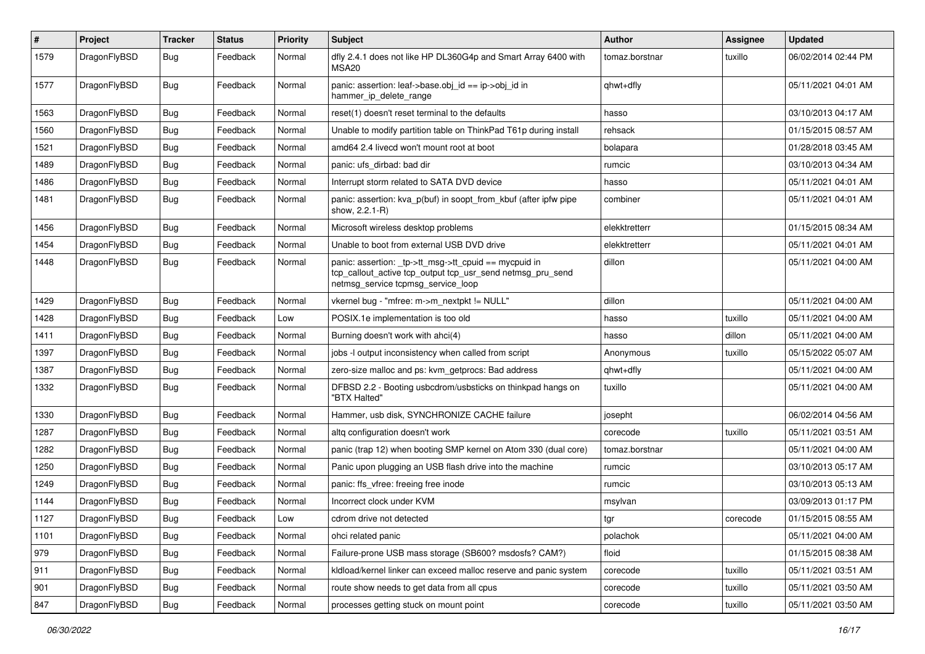| $\sharp$ | Project      | <b>Tracker</b> | <b>Status</b> | <b>Priority</b> | Subject                                                                                                                                                   | Author         | Assignee | <b>Updated</b>      |
|----------|--------------|----------------|---------------|-----------------|-----------------------------------------------------------------------------------------------------------------------------------------------------------|----------------|----------|---------------------|
| 1579     | DragonFlyBSD | Bug            | Feedback      | Normal          | dfly 2.4.1 does not like HP DL360G4p and Smart Array 6400 with<br>MSA20                                                                                   | tomaz.borstnar | tuxillo  | 06/02/2014 02:44 PM |
| 1577     | DragonFlyBSD | Bug            | Feedback      | Normal          | panic: assertion: leaf->base.obj_id == ip->obj_id in<br>hammer_ip_delete_range                                                                            | qhwt+dfly      |          | 05/11/2021 04:01 AM |
| 1563     | DragonFlyBSD | Bug            | Feedback      | Normal          | reset(1) doesn't reset terminal to the defaults                                                                                                           | hasso          |          | 03/10/2013 04:17 AM |
| 1560     | DragonFlyBSD | <b>Bug</b>     | Feedback      | Normal          | Unable to modify partition table on ThinkPad T61p during install                                                                                          | rehsack        |          | 01/15/2015 08:57 AM |
| 1521     | DragonFlyBSD | <b>Bug</b>     | Feedback      | Normal          | amd64 2.4 livecd won't mount root at boot                                                                                                                 | bolapara       |          | 01/28/2018 03:45 AM |
| 1489     | DragonFlyBSD | <b>Bug</b>     | Feedback      | Normal          | panic: ufs dirbad: bad dir                                                                                                                                | rumcic         |          | 03/10/2013 04:34 AM |
| 1486     | DragonFlyBSD | <b>Bug</b>     | Feedback      | Normal          | Interrupt storm related to SATA DVD device                                                                                                                | hasso          |          | 05/11/2021 04:01 AM |
| 1481     | DragonFlyBSD | Bug            | Feedback      | Normal          | panic: assertion: kva_p(buf) in soopt_from_kbuf (after ipfw pipe<br>show, 2.2.1-R)                                                                        | combiner       |          | 05/11/2021 04:01 AM |
| 1456     | DragonFlyBSD | Bug            | Feedback      | Normal          | Microsoft wireless desktop problems                                                                                                                       | elekktretterr  |          | 01/15/2015 08:34 AM |
| 1454     | DragonFlyBSD | Bug            | Feedback      | Normal          | Unable to boot from external USB DVD drive                                                                                                                | elekktretterr  |          | 05/11/2021 04:01 AM |
| 1448     | DragonFlyBSD | <b>Bug</b>     | Feedback      | Normal          | panic: assertion: _tp->tt_msg->tt_cpuid == mycpuid in<br>tcp_callout_active tcp_output tcp_usr_send netmsg_pru_send<br>netmsg_service tcpmsg_service_loop | dillon         |          | 05/11/2021 04:00 AM |
| 1429     | DragonFlyBSD | <b>Bug</b>     | Feedback      | Normal          | vkernel bug - "mfree: m->m_nextpkt != NULL"                                                                                                               | dillon         |          | 05/11/2021 04:00 AM |
| 1428     | DragonFlyBSD | <b>Bug</b>     | Feedback      | Low             | POSIX.1e implementation is too old                                                                                                                        | hasso          | tuxillo  | 05/11/2021 04:00 AM |
| 1411     | DragonFlyBSD | <b>Bug</b>     | Feedback      | Normal          | Burning doesn't work with ahci(4)                                                                                                                         | hasso          | dillon   | 05/11/2021 04:00 AM |
| 1397     | DragonFlyBSD | <b>Bug</b>     | Feedback      | Normal          | jobs -I output inconsistency when called from script                                                                                                      | Anonymous      | tuxillo  | 05/15/2022 05:07 AM |
| 1387     | DragonFlyBSD | Bug            | Feedback      | Normal          | zero-size malloc and ps: kvm_getprocs: Bad address                                                                                                        | qhwt+dfly      |          | 05/11/2021 04:00 AM |
| 1332     | DragonFlyBSD | <b>Bug</b>     | Feedback      | Normal          | DFBSD 2.2 - Booting usbcdrom/usbsticks on thinkpad hangs on<br>"BTX Halted"                                                                               | tuxillo        |          | 05/11/2021 04:00 AM |
| 1330     | DragonFlyBSD | Bug            | Feedback      | Normal          | Hammer, usb disk, SYNCHRONIZE CACHE failure                                                                                                               | josepht        |          | 06/02/2014 04:56 AM |
| 1287     | DragonFlyBSD | Bug            | Feedback      | Normal          | altg configuration doesn't work                                                                                                                           | corecode       | tuxillo  | 05/11/2021 03:51 AM |
| 1282     | DragonFlyBSD | Bug            | Feedback      | Normal          | panic (trap 12) when booting SMP kernel on Atom 330 (dual core)                                                                                           | tomaz.borstnar |          | 05/11/2021 04:00 AM |
| 1250     | DragonFlyBSD | <b>Bug</b>     | Feedback      | Normal          | Panic upon plugging an USB flash drive into the machine                                                                                                   | rumcic         |          | 03/10/2013 05:17 AM |
| 1249     | DragonFlyBSD | <b>Bug</b>     | Feedback      | Normal          | panic: ffs_vfree: freeing free inode                                                                                                                      | rumcic         |          | 03/10/2013 05:13 AM |
| 1144     | DragonFlyBSD | Bug            | Feedback      | Normal          | Incorrect clock under KVM                                                                                                                                 | msylvan        |          | 03/09/2013 01:17 PM |
| 1127     | DragonFlyBSD | Bug            | Feedback      | Low             | cdrom drive not detected                                                                                                                                  | tgr            | corecode | 01/15/2015 08:55 AM |
| 1101     | DragonFlyBSD | Bug            | Feedback      | Normal          | ohci related panic                                                                                                                                        | polachok       |          | 05/11/2021 04:00 AM |
| 979      | DragonFlyBSD | Bug            | Feedback      | Normal          | Failure-prone USB mass storage (SB600? msdosfs? CAM?)                                                                                                     | floid          |          | 01/15/2015 08:38 AM |
| 911      | DragonFlyBSD | <b>Bug</b>     | Feedback      | Normal          | kldload/kernel linker can exceed malloc reserve and panic system                                                                                          | corecode       | tuxillo  | 05/11/2021 03:51 AM |
| 901      | DragonFlyBSD | <b>Bug</b>     | Feedback      | Normal          | route show needs to get data from all cpus                                                                                                                | corecode       | tuxillo  | 05/11/2021 03:50 AM |
| 847      | DragonFlyBSD | <b>Bug</b>     | Feedback      | Normal          | processes getting stuck on mount point                                                                                                                    | corecode       | tuxillo  | 05/11/2021 03:50 AM |